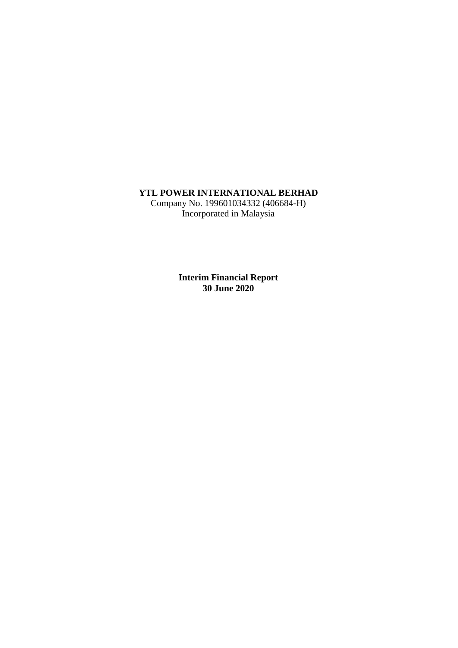# **YTL POWER INTERNATIONAL BERHAD**

Company No. 199601034332 (406684-H) Incorporated in Malaysia

> **Interim Financial Report 30 June 2020**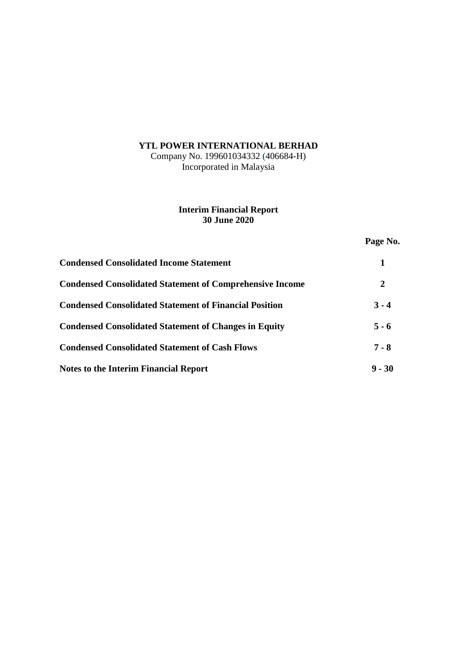# **YTL POWER INTERNATIONAL BERHAD**

Company No. 199601034332 (406684-H) Incorporated in Malaysia

# **Interim Financial Report 30 June 2020**

**Page No.**

| <b>Condensed Consolidated Income Statement</b>                  |          |
|-----------------------------------------------------------------|----------|
| <b>Condensed Consolidated Statement of Comprehensive Income</b> | 2        |
| <b>Condensed Consolidated Statement of Financial Position</b>   | $3 - 4$  |
| <b>Condensed Consolidated Statement of Changes in Equity</b>    | $5 - 6$  |
| <b>Condensed Consolidated Statement of Cash Flows</b>           | $7 - 8$  |
| <b>Notes to the Interim Financial Report</b>                    | $9 - 30$ |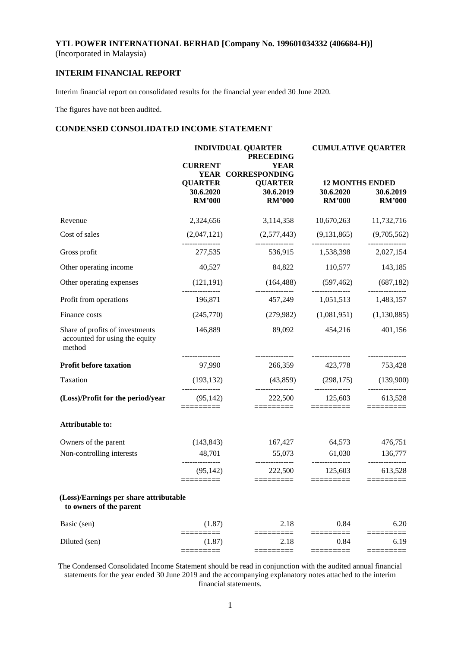# **INTERIM FINANCIAL REPORT**

Interim financial report on consolidated results for the financial year ended 30 June 2020.

The figures have not been audited.

# **CONDENSED CONSOLIDATED INCOME STATEMENT**

|                                                                             |                                  | <b>INDIVIDUAL QUARTER</b><br><b>PRECEDING</b>       | <b>CUMULATIVE QUARTER</b>                      |                            |  |
|-----------------------------------------------------------------------------|----------------------------------|-----------------------------------------------------|------------------------------------------------|----------------------------|--|
|                                                                             | <b>CURRENT</b><br><b>QUARTER</b> | <b>YEAR</b><br>YEAR CORRESPONDING<br><b>QUARTER</b> |                                                | <b>12 MONTHS ENDED</b>     |  |
|                                                                             | 30.6.2020<br><b>RM'000</b>       | 30.6.2019<br><b>RM'000</b>                          | 30.6.2020<br><b>RM'000</b>                     | 30.6.2019<br><b>RM'000</b> |  |
| Revenue                                                                     | 2,324,656                        | 3,114,358                                           | 10,670,263                                     | 11,732,716                 |  |
| Cost of sales                                                               | (2,047,121)                      | $(2,577,443)$ $(9,131,865)$<br>_______________      | _______________                                | (9,705,562)                |  |
| Gross profit                                                                | 277,535                          |                                                     | 536,915 1,538,398 2,027,154                    |                            |  |
| Other operating income                                                      | 40,527                           | 84,822                                              | 110,577                                        | 143,185                    |  |
| Other operating expenses                                                    | (121, 191)                       |                                                     | $(164,488)$ $(597,462)$ $(687,182)$            |                            |  |
| Profit from operations                                                      | _______________<br>196,871       | ---------------                                     | ---------------<br>457,249 1,051,513 1,483,157 | ---------------            |  |
| Finance costs                                                               | (245,770)                        |                                                     | $(279,982)$ $(1,081,951)$                      | (1,130,885)                |  |
| Share of profits of investments<br>accounted for using the equity<br>method | 146,889                          | 89,092                                              | 454,216                                        | 401,156                    |  |
| <b>Profit before taxation</b>                                               | 97,990                           | ---------------<br>266,359                          | ---------------<br>423,778                     | ---------------<br>753,428 |  |
| Taxation                                                                    | (193, 132)                       | (43,859)                                            | (298, 175)                                     | (139,900)                  |  |
| (Loss)/Profit for the period/year                                           | (95, 142)<br>=========           | 222,500<br>=========                                | 125,603<br>=========                           | 613,528                    |  |
| Attributable to:                                                            |                                  |                                                     |                                                |                            |  |
| Owners of the parent                                                        | (143, 843)                       | 167,427                                             | 64,573                                         | 476,751                    |  |
| Non-controlling interests                                                   | 48,701                           | 55,073                                              | 61,030                                         | 136,777                    |  |
|                                                                             | (95, 142)<br>=========           | 222,500<br>$=$ ========                             | 125,603                                        | 613,528                    |  |
| (Loss)/Earnings per share attributable<br>to owners of the parent           |                                  |                                                     |                                                |                            |  |
| Basic (sen)                                                                 | (1.87)                           | 2.18                                                | 0.84                                           | 6.20                       |  |
| Diluted (sen)                                                               | (1.87)                           | 2.18<br>======                                      | 0.84<br>========                               | 6.19<br>=======            |  |
|                                                                             |                                  |                                                     |                                                |                            |  |

The Condensed Consolidated Income Statement should be read in conjunction with the audited annual financial statements for the year ended 30 June 2019 and the accompanying explanatory notes attached to the interim financial statements.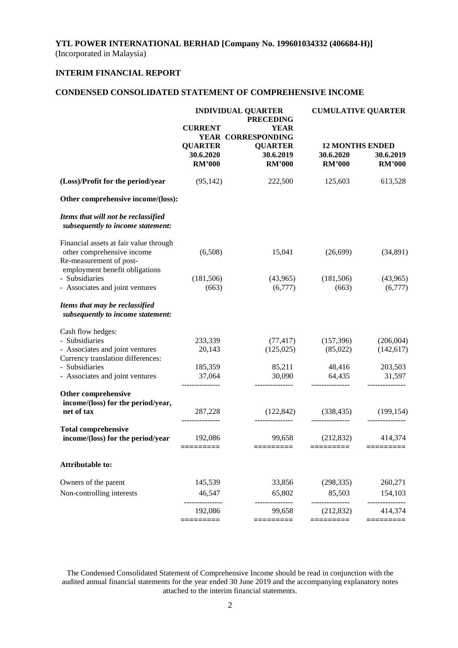# **INTERIM FINANCIAL REPORT**

# **CONDENSED CONSOLIDATED STATEMENT OF COMPREHENSIVE INCOME**

|                                                                                                 | <b>INDIVIDUAL QUARTER</b><br><b>PRECEDING</b>       |                                              | <b>CUMULATIVE QUARTER</b>                            |                                |  |
|-------------------------------------------------------------------------------------------------|-----------------------------------------------------|----------------------------------------------|------------------------------------------------------|--------------------------------|--|
|                                                                                                 | <b>YEAR</b><br><b>CURRENT</b><br>YEAR CORRESPONDING |                                              |                                                      |                                |  |
|                                                                                                 | <b>QUARTER</b><br>30.6.2020<br><b>RM'000</b>        | <b>QUARTER</b><br>30.6.2019<br><b>RM'000</b> | <b>12 MONTHS ENDED</b><br>30.6.2020<br><b>RM'000</b> | 30.6.2019<br><b>RM'000</b>     |  |
| (Loss)/Profit for the period/year                                                               | (95, 142)                                           | 222,500                                      | 125,603                                              | 613,528                        |  |
| Other comprehensive income/(loss):                                                              |                                                     |                                              |                                                      |                                |  |
| Items that will not be reclassified<br>subsequently to income statement:                        |                                                     |                                              |                                                      |                                |  |
| Financial assets at fair value through<br>other comprehensive income<br>Re-measurement of post- | (6,508)                                             | 15,041                                       | (26,699)                                             | (34,891)                       |  |
| employment benefit obligations<br>- Subsidiaries<br>- Associates and joint ventures             | (181, 506)<br>(663)                                 | (43,965)<br>(6,777)                          | (181,506)<br>(663)                                   | (43,965)<br>(6,777)            |  |
| Items that may be reclassified<br>subsequently to income statement:                             |                                                     |                                              |                                                      |                                |  |
| Cash flow hedges:                                                                               |                                                     |                                              |                                                      |                                |  |
| - Subsidiaries<br>- Associates and joint ventures<br>Currency translation differences:          | 233,339<br>20,143                                   | (77, 417)<br>(125, 025)                      | (157,396)<br>(85,022)                                | (206,004)<br>(142, 617)        |  |
| - Subsidiaries<br>- Associates and joint ventures                                               | 185,359<br>37,064                                   | 85,211<br>30,090                             | 48,416<br>64,435                                     | 203,503<br>31,597              |  |
| Other comprehensive<br>income/(loss) for the period/year,                                       | ---------------                                     | ---------------                              | ---------------                                      |                                |  |
| net of tax                                                                                      | 287,228                                             | (122, 842)                                   | (338, 435)                                           | (199, 154)                     |  |
| <b>Total comprehensive</b><br>income/(loss) for the period/year                                 | 192,086<br>$=$ =========                            | 99,658<br>$=$ ========                       | (212, 832)<br>$=$ ========                           | 414,374<br>$=$ = = = = = = = = |  |
| <b>Attributable to:</b>                                                                         |                                                     |                                              |                                                      |                                |  |
| Owners of the parent                                                                            | 145,539                                             | 33,856                                       | (298, 335)                                           | 260,271                        |  |
| Non-controlling interests                                                                       | 46,547                                              | 65,802                                       | 85,503                                               | 154,103                        |  |
|                                                                                                 | 192,086<br>=========                                | 99,658<br>========                           | (212, 832)<br>========                               | 414,374<br>=========           |  |
|                                                                                                 |                                                     |                                              |                                                      |                                |  |

The Condensed Consolidated Statement of Comprehensive Income should be read in conjunction with the audited annual financial statements for the year ended 30 June 2019 and the accompanying explanatory notes attached to the interim financial statements.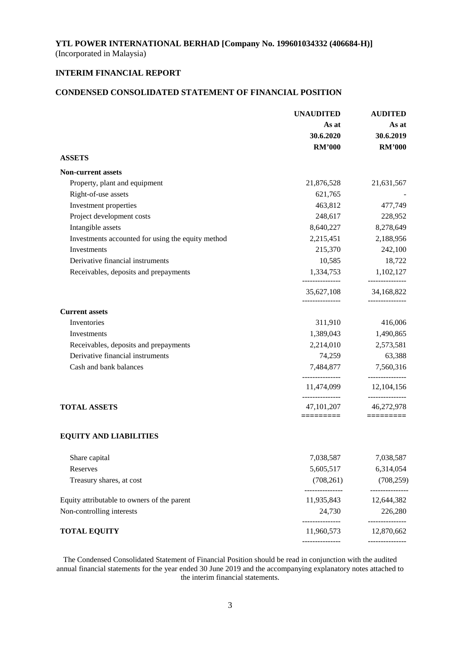# **INTERIM FINANCIAL REPORT**

# **CONDENSED CONSOLIDATED STATEMENT OF FINANCIAL POSITION**

|                                                   | <b>UNAUDITED</b>                             | <b>AUDITED</b>                |  |
|---------------------------------------------------|----------------------------------------------|-------------------------------|--|
|                                                   | As at                                        | As at                         |  |
|                                                   | 30.6.2020                                    | 30.6.2019                     |  |
|                                                   | <b>RM'000</b>                                | <b>RM'000</b>                 |  |
| <b>ASSETS</b>                                     |                                              |                               |  |
| <b>Non-current assets</b>                         |                                              |                               |  |
| Property, plant and equipment                     | 21,876,528                                   | 21,631,567                    |  |
| Right-of-use assets                               | 621,765                                      |                               |  |
| Investment properties                             | 463,812                                      | 477,749                       |  |
| Project development costs                         | 248,617                                      | 228,952                       |  |
| Intangible assets                                 | 8,640,227                                    | 8,278,649                     |  |
| Investments accounted for using the equity method | 2,215,451                                    | 2,188,956                     |  |
| Investments                                       | 215,370                                      | 242,100                       |  |
| Derivative financial instruments                  | 10,585                                       | 18,722                        |  |
| Receivables, deposits and prepayments             |                                              | 1,334,753 1,102,127           |  |
|                                                   | ---------------<br>35,627,108                | ---------------<br>34,168,822 |  |
| <b>Current assets</b>                             | ---------------                              | ---------------               |  |
| Inventories                                       | 311,910                                      | 416,006                       |  |
| Investments                                       | 1,389,043                                    | 1,490,865                     |  |
| Receivables, deposits and prepayments             | 2,214,010                                    | 2,573,581                     |  |
| Derivative financial instruments                  | 74,259                                       | 63,388                        |  |
| Cash and bank balances                            | 7,484,877                                    | 7,560,316                     |  |
|                                                   | 11,474,099                                   | ---------------<br>12,104,156 |  |
| <b>TOTAL ASSETS</b>                               | ---------------<br>47, 101, 207<br>========= | ---------------<br>46,272,978 |  |
| <b>EQUITY AND LIABILITIES</b>                     |                                              | =========                     |  |
| Share capital                                     | 7,038,587                                    | 7,038,587                     |  |
| Reserves                                          | 5,605,517                                    | 6,314,054                     |  |
| Treasury shares, at cost                          | (708, 261)                                   | (708, 259)                    |  |
| Equity attributable to owners of the parent       | _______________<br>11,935,843                | -----------<br>12,644,382     |  |
| Non-controlling interests                         | 24,730                                       | 226,280                       |  |
| <b>TOTAL EQUITY</b>                               | .<br>11,960,573                              | -------------<br>12,870,662   |  |
|                                                   | --------------                               | -------------                 |  |

The Condensed Consolidated Statement of Financial Position should be read in conjunction with the audited annual financial statements for the year ended 30 June 2019 and the accompanying explanatory notes attached to the interim financial statements.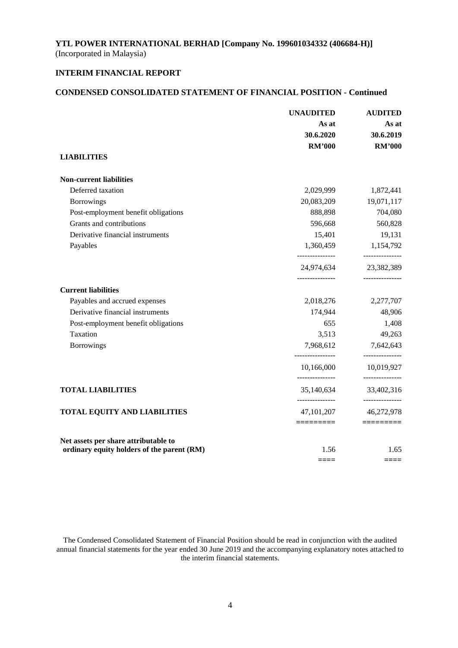# **INTERIM FINANCIAL REPORT**

### **CONDENSED CONSOLIDATED STATEMENT OF FINANCIAL POSITION - Continued**

|                                            | <b>UNAUDITED</b>                 | <b>AUDITED</b>                |
|--------------------------------------------|----------------------------------|-------------------------------|
|                                            | As at                            | As at                         |
|                                            | 30.6.2020                        | 30.6.2019                     |
|                                            | <b>RM'000</b>                    | <b>RM'000</b>                 |
| <b>LIABILITIES</b>                         |                                  |                               |
| <b>Non-current liabilities</b>             |                                  |                               |
| Deferred taxation                          | 2,029,999                        | 1,872,441                     |
| Borrowings                                 | 20,083,209                       | 19,071,117                    |
| Post-employment benefit obligations        | 888,898                          | 704,080                       |
| Grants and contributions                   | 596,668                          | 560,828                       |
| Derivative financial instruments           | 15,401                           | 19,131                        |
| Payables                                   | 1,360,459                        | 1,154,792<br>---------------  |
|                                            | 24,974,634<br>______________     | 23,382,389<br>_______________ |
| <b>Current liabilities</b>                 |                                  |                               |
| Payables and accrued expenses              | 2,018,276                        | 2,277,707                     |
| Derivative financial instruments           | 174,944                          | 48,906                        |
| Post-employment benefit obligations        | 655                              | 1,408                         |
| Taxation                                   | 3,513                            | 49,263                        |
| <b>Borrowings</b>                          | 7,968,612<br>--------------      | 7,642,643<br>---------------  |
|                                            | 10,166,000                       | 10,019,927                    |
| <b>TOTAL LIABILITIES</b>                   | ---------------<br>35,140,634    | -------------<br>33,402,316   |
| <b>TOTAL EQUITY AND LIABILITIES</b>        | ----------------<br>47, 101, 207 | ---------------<br>46,272,978 |
|                                            | $=$ ========                     | $=$ ========                  |
| Net assets per share attributable to       |                                  |                               |
| ordinary equity holders of the parent (RM) | 1.56<br>$====$                   | 1.65<br>====                  |

The Condensed Consolidated Statement of Financial Position should be read in conjunction with the audited annual financial statements for the year ended 30 June 2019 and the accompanying explanatory notes attached to the interim financial statements.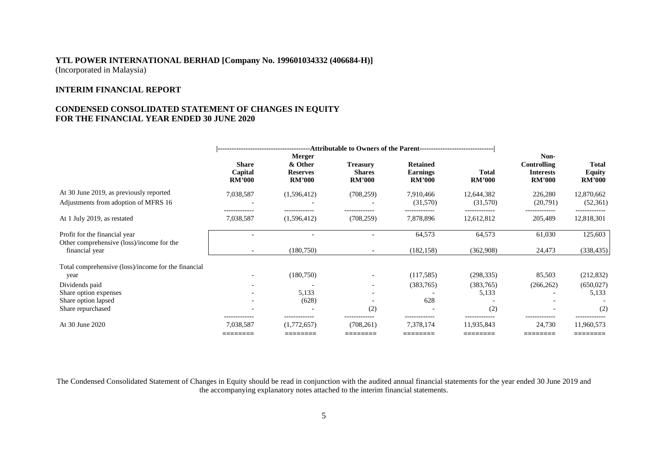# **INTERIM FINANCIAL REPORT**

# **CONDENSED CONSOLIDATED STATEMENT OF CHANGES IN EQUITY FOR THE FINANCIAL YEAR ENDED 30 JUNE 2020**

|                                                             | ---Attributable to Owners of the Parent----------------------------------- |                                                              |                                                   |                                                     |                               |                                                          |                                         |
|-------------------------------------------------------------|----------------------------------------------------------------------------|--------------------------------------------------------------|---------------------------------------------------|-----------------------------------------------------|-------------------------------|----------------------------------------------------------|-----------------------------------------|
|                                                             | <b>Share</b><br>Capital<br><b>RM'000</b>                                   | <b>Merger</b><br>& Other<br><b>Reserves</b><br><b>RM'000</b> | <b>Treasury</b><br><b>Shares</b><br><b>RM'000</b> | <b>Retained</b><br><b>Earnings</b><br><b>RM'000</b> | <b>Total</b><br><b>RM'000</b> | Non-<br>Controlling<br><b>Interests</b><br><b>RM'000</b> | Total<br><b>Equity</b><br><b>RM'000</b> |
| At 30 June 2019, as previously reported                     | 7,038,587                                                                  | (1,596,412)                                                  | (708, 259)                                        | 7,910,466                                           | 12,644,382                    | 226,280                                                  | 12,870,662                              |
| Adjustments from adoption of MFRS 16                        |                                                                            |                                                              |                                                   | (31,570)                                            | (31,570)                      | (20,791)                                                 | (52, 361)                               |
| At 1 July 2019, as restated                                 | -------------<br>7,038,587                                                 | -------------<br>(1,596,412)                                 | -------------<br>(708, 259)                       | 7,878,896                                           | 12,612,812                    | -------------<br>205,489                                 | -------------<br>12,818,301             |
| Profit for the financial year                               |                                                                            |                                                              |                                                   | 64,573                                              | 64,573                        | 61,030                                                   | 125,603                                 |
| Other comprehensive (loss)/income for the<br>financial year | $\overline{\phantom{a}}$                                                   | (180,750)                                                    |                                                   | (182, 158)                                          | (362,908)                     | 24,473                                                   | (338, 435)                              |
| Total comprehensive (loss)/income for the financial         |                                                                            |                                                              |                                                   |                                                     |                               |                                                          |                                         |
| year                                                        |                                                                            | (180, 750)                                                   |                                                   | (117, 585)                                          | (298, 335)                    | 85,503                                                   | (212, 832)                              |
| Dividends paid                                              | $\overline{\phantom{0}}$                                                   |                                                              |                                                   | (383,765)                                           | (383,765)                     | (266, 262)                                               | (650, 027)                              |
| Share option expenses                                       |                                                                            | 5,133                                                        |                                                   |                                                     | 5,133                         |                                                          | 5,133                                   |
| Share option lapsed                                         |                                                                            | (628)                                                        |                                                   | 628                                                 |                               |                                                          |                                         |
| Share repurchased                                           |                                                                            |                                                              | (2)                                               |                                                     | (2)                           |                                                          | (2)                                     |
| At 30 June 2020                                             | -------------<br>7,038,587                                                 | (1,772,657)<br>________                                      | -------------<br>(708, 261)                       | -------------<br>7,378,174                          | 11,935,843                    | 24,730<br>______                                         | 11,960,573                              |
|                                                             | ________<br>_______                                                        |                                                              |                                                   |                                                     |                               |                                                          | ---------                               |

The Condensed Consolidated Statement of Changes in Equity should be read in conjunction with the audited annual financial statements for the year ended 30 June 2019 and the accompanying explanatory notes attached to the interim financial statements.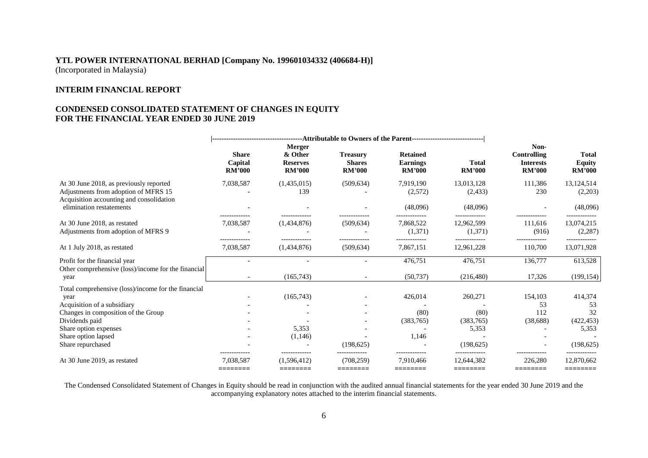# **INTERIM FINANCIAL REPORT**

# **CONDENSED CONSOLIDATED STATEMENT OF CHANGES IN EQUITY FOR THE FINANCIAL YEAR ENDED 30 JUNE 2019**

|                                                                                                                                                                                                                          | <b>Share</b><br>Capital<br><b>RM'000</b> | Merger<br>& Other<br><b>Reserves</b><br><b>RM'000</b> | <b>Treasury</b><br><b>Shares</b><br><b>RM'000</b> | <b>Retained</b><br><b>Earnings</b><br><b>RM'000</b>    | <b>Total</b><br><b>RM'000</b>                       | Non-<br><b>Controlling</b><br><b>Interests</b><br><b>RM'000</b> | <b>Total</b><br><b>Equity</b><br><b>RM'000</b>                             |
|--------------------------------------------------------------------------------------------------------------------------------------------------------------------------------------------------------------------------|------------------------------------------|-------------------------------------------------------|---------------------------------------------------|--------------------------------------------------------|-----------------------------------------------------|-----------------------------------------------------------------|----------------------------------------------------------------------------|
| At 30 June 2018, as previously reported<br>Adjustments from adoption of MFRS 15<br>Acquisition accounting and consolidation                                                                                              | 7,038,587                                | (1,435,015)<br>139                                    | (509, 634)                                        | 7,919,190<br>(2,572)                                   | 13,013,128<br>(2, 433)                              | 111,386<br>230                                                  | 13,124,514<br>(2,203)                                                      |
| elimination restatements                                                                                                                                                                                                 |                                          |                                                       |                                                   | (48,096)                                               | (48,096)                                            |                                                                 | (48,096)                                                                   |
| At 30 June 2018, as restated<br>Adjustments from adoption of MFRS 9                                                                                                                                                      | 7,038,587                                | (1,434,876)                                           | (509, 634)                                        | 7,868,522<br>(1,371)                                   | 12,962,599<br>(1,371)                               | 111,616<br>(916)                                                | 13,074,215<br>(2, 287)                                                     |
| At 1 July 2018, as restated                                                                                                                                                                                              | 7,038,587                                | (1,434,876)                                           | (509, 634)                                        | 7,867,151                                              | 12,961,228                                          | 110,700                                                         | 13,071,928                                                                 |
| Profit for the financial year<br>Other comprehensive (loss)/income for the financial<br>year                                                                                                                             |                                          | (165, 743)                                            |                                                   | 476,751<br>(50, 737)                                   | 476,751<br>(216, 480)                               | 136,777<br>17,326                                               | 613,528<br>(199, 154)                                                      |
| Total comprehensive (loss)/income for the financial<br>year<br>Acquisition of a subsidiary<br>Changes in composition of the Group<br>Dividends paid<br>Share option expenses<br>Share option lapsed<br>Share repurchased | -------------                            | (165, 743)<br>5,353<br>(1,146)<br>-------------       | (198.625)                                         | 426,014<br>(80)<br>(383,765)<br>1,146<br>------------- | 260,271<br>(80)<br>(383,765)<br>5,353<br>(198, 625) | 154,103<br>53<br>112<br>(38, 688)<br>-------------              | 414,374<br>53<br>32<br>(422, 453)<br>5,353<br>(198, 625)<br>-------------- |
| At 30 June 2019, as restated                                                                                                                                                                                             | 7.038.587<br>========                    | (1.596.412)<br>========                               | (708.259)<br>========                             | 7.910.466<br>========                                  | 12.644.382<br>========                              | 226,280<br>========                                             | 12,870,662<br>========                                                     |

The Condensed Consolidated Statement of Changes in Equity should be read in conjunction with the audited annual financial statements for the year ended 30 June 2019 and the accompanying explanatory notes attached to the interim financial statements.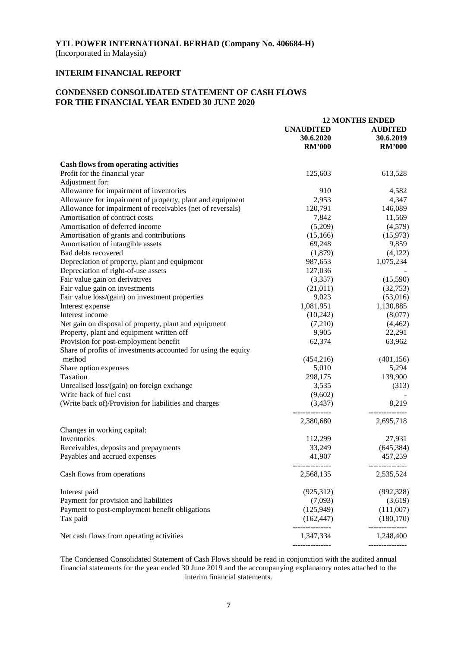(Incorporated in Malaysia)

# **INTERIM FINANCIAL REPORT**

# **CONDENSED CONSOLIDATED STATEMENT OF CASH FLOWS FOR THE FINANCIAL YEAR ENDED 30 JUNE 2020**

|                                                                | <b>12 MONTHS ENDED</b>      |                            |  |
|----------------------------------------------------------------|-----------------------------|----------------------------|--|
|                                                                | <b>UNAUDITED</b>            | <b>AUDITED</b>             |  |
|                                                                | 30.6.2020                   | 30.6.2019                  |  |
|                                                                |                             |                            |  |
|                                                                | <b>RM'000</b>               | <b>RM'000</b>              |  |
| <b>Cash flows from operating activities</b>                    |                             |                            |  |
| Profit for the financial year                                  | 125,603                     | 613,528                    |  |
| Adjustment for:                                                |                             |                            |  |
|                                                                |                             |                            |  |
| Allowance for impairment of inventories                        | 910                         | 4,582                      |  |
| Allowance for impairment of property, plant and equipment      | 2,953                       | 4,347                      |  |
| Allowance for impairment of receivables (net of reversals)     | 120,791                     | 146,089                    |  |
| Amortisation of contract costs                                 | 7,842                       | 11,569                     |  |
| Amortisation of deferred income                                | (5,209)                     | (4,579)                    |  |
| Amortisation of grants and contributions                       | (15, 166)                   | (15, 973)                  |  |
| Amortisation of intangible assets                              | 69,248                      | 9,859                      |  |
| Bad debts recovered                                            | (1,879)                     | (4,122)                    |  |
| Depreciation of property, plant and equipment                  | 987,653                     | 1,075,234                  |  |
|                                                                | 127,036                     |                            |  |
| Depreciation of right-of-use assets                            |                             |                            |  |
| Fair value gain on derivatives                                 | (3,357)                     | (15,590)                   |  |
| Fair value gain on investments                                 | (21,011)                    | (32,753)                   |  |
| Fair value loss/(gain) on investment properties                | 9,023                       | (53,016)                   |  |
| Interest expense                                               | 1,081,951                   | 1,130,885                  |  |
| Interest income                                                | (10,242)                    | (8,077)                    |  |
| Net gain on disposal of property, plant and equipment          | (7,210)                     | (4, 462)                   |  |
| Property, plant and equipment written off                      | 9,905                       | 22,291                     |  |
| Provision for post-employment benefit                          | 62,374                      | 63,962                     |  |
| Share of profits of investments accounted for using the equity |                             |                            |  |
| method                                                         | (454, 216)                  | (401, 156)                 |  |
|                                                                |                             |                            |  |
| Share option expenses                                          | 5,010                       | 5,294                      |  |
| Taxation                                                       | 298,175                     | 139,900                    |  |
| Unrealised loss/(gain) on foreign exchange                     | 3,535                       | (313)                      |  |
| Write back of fuel cost                                        | (9,602)                     |                            |  |
| (Write back of)/Provision for liabilities and charges          | (3,437)                     | 8,219                      |  |
|                                                                | 2,380,680                   | 2,695,718                  |  |
| Changes in working capital:                                    |                             |                            |  |
| Inventories                                                    | 112,299                     | 27,931                     |  |
| Receivables, deposits and prepayments                          | 33,249                      |                            |  |
|                                                                |                             | (645, 384)                 |  |
| Payables and accrued expenses                                  | 41,907                      | 457,259                    |  |
| Cash flows from operations                                     | 2,568,135                   | 2,535,524                  |  |
| Interest paid                                                  | (925,312)                   | (992, 328)                 |  |
| Payment for provision and liabilities                          | (7,093)                     | (3,619)                    |  |
|                                                                |                             | (111,007)                  |  |
| Payment to post-employment benefit obligations                 | (125, 949)                  |                            |  |
| Tax paid                                                       | (162, 447)<br>------------- | (180, 170)<br>------------ |  |
| Net cash flows from operating activities                       | 1,347,334                   | 1,248,400                  |  |
|                                                                |                             |                            |  |

The Condensed Consolidated Statement of Cash Flows should be read in conjunction with the audited annual financial statements for the year ended 30 June 2019 and the accompanying explanatory notes attached to the interim financial statements.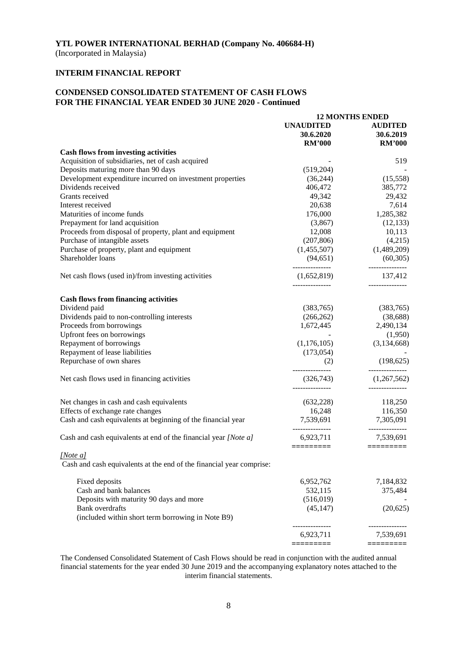(Incorporated in Malaysia)

# **INTERIM FINANCIAL REPORT**

# **CONDENSED CONSOLIDATED STATEMENT OF CASH FLOWS FOR THE FINANCIAL YEAR ENDED 30 JUNE 2020 - Continued**

|                                                                                  | <b>12 MONTHS ENDED</b>         |                                |  |
|----------------------------------------------------------------------------------|--------------------------------|--------------------------------|--|
|                                                                                  | <b>UNAUDITED</b>               | <b>AUDITED</b>                 |  |
|                                                                                  | 30.6.2020                      | 30.6.2019                      |  |
|                                                                                  | <b>RM'000</b>                  | <b>RM'000</b>                  |  |
| <b>Cash flows from investing activities</b>                                      |                                |                                |  |
| Acquisition of subsidiaries, net of cash acquired                                |                                | 519                            |  |
| Deposits maturing more than 90 days                                              | (519,204)                      |                                |  |
| Development expenditure incurred on investment properties                        | (36, 244)                      | (15,558)                       |  |
| Dividends received                                                               | 406,472                        | 385,772                        |  |
| Grants received                                                                  | 49,342                         | 29,432                         |  |
| Interest received                                                                | 20,638                         | 7,614                          |  |
| Maturities of income funds                                                       | 176,000                        | 1,285,382                      |  |
| Prepayment for land acquisition                                                  | (3,867)                        | (12, 133)                      |  |
| Proceeds from disposal of property, plant and equipment                          | 12,008                         | 10,113                         |  |
| Purchase of intangible assets                                                    | (207, 806)                     | (4,215)                        |  |
| Purchase of property, plant and equipment                                        | (1,455,507)                    | (1,489,209)                    |  |
| Shareholder loans                                                                | (94, 651)                      | (60, 305)                      |  |
| Net cash flows (used in)/from investing activities                               | _______________<br>(1,652,819) | --------------<br>137,412      |  |
| <b>Cash flows from financing activities</b>                                      |                                |                                |  |
| Dividend paid                                                                    | (383,765)                      | (383,765)                      |  |
| Dividends paid to non-controlling interests                                      | (266, 262)                     | (38, 688)                      |  |
| Proceeds from borrowings                                                         | 1,672,445                      | 2,490,134                      |  |
| Upfront fees on borrowings                                                       |                                | (1,950)                        |  |
|                                                                                  |                                |                                |  |
| Repayment of borrowings                                                          | (1,176,105)                    | (3,134,668)                    |  |
| Repayment of lease liabilities                                                   | (173, 054)                     |                                |  |
| Repurchase of own shares                                                         | (2)<br>---------------         | (198, 625)                     |  |
| Net cash flows used in financing activities                                      | (326,743)                      | (1,267,562)<br>--------------- |  |
| Net changes in cash and cash equivalents                                         | (632, 228)                     | 118,250                        |  |
| Effects of exchange rate changes                                                 | 16,248                         | 116,350                        |  |
| Cash and cash equivalents at beginning of the financial year                     | 7,539,691                      | 7,305,091                      |  |
| Cash and cash equivalents at end of the financial year [Note a]                  | _______________<br>6,923,711   | -------------<br>7,539,691     |  |
|                                                                                  |                                | $=$ ========                   |  |
| [Note a]<br>Cash and cash equivalents at the end of the financial year comprise: |                                |                                |  |
| Fixed deposits                                                                   | 6,952,762                      | 7,184,832                      |  |
| Cash and bank balances                                                           | 532,115                        | 375,484                        |  |
| Deposits with maturity 90 days and more                                          | (516, 019)                     |                                |  |
| Bank overdrafts                                                                  | (45, 147)                      | (20,625)                       |  |
| (included within short term borrowing in Note B9)                                |                                |                                |  |
|                                                                                  | 6,923,711                      | 7,539,691                      |  |
|                                                                                  | =========                      | =========                      |  |

The Condensed Consolidated Statement of Cash Flows should be read in conjunction with the audited annual financial statements for the year ended 30 June 2019 and the accompanying explanatory notes attached to the interim financial statements.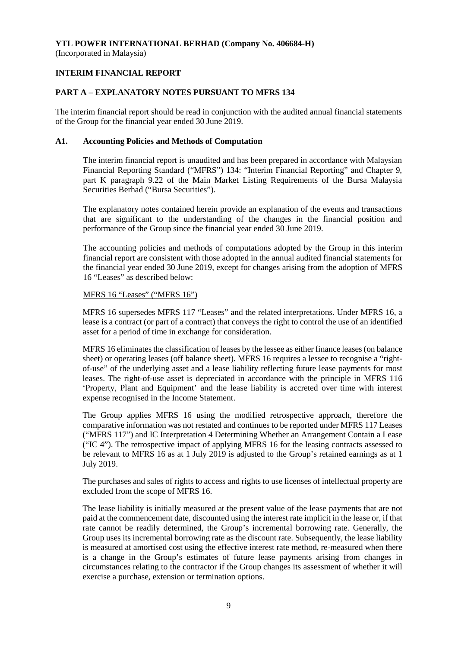(Incorporated in Malaysia)

# **INTERIM FINANCIAL REPORT**

# **PART A – EXPLANATORY NOTES PURSUANT TO MFRS 134**

The interim financial report should be read in conjunction with the audited annual financial statements of the Group for the financial year ended 30 June 2019.

# **A1. Accounting Policies and Methods of Computation**

The interim financial report is unaudited and has been prepared in accordance with Malaysian Financial Reporting Standard ("MFRS") 134: "Interim Financial Reporting" and Chapter 9, part K paragraph 9.22 of the Main Market Listing Requirements of the Bursa Malaysia Securities Berhad ("Bursa Securities").

The explanatory notes contained herein provide an explanation of the events and transactions that are significant to the understanding of the changes in the financial position and performance of the Group since the financial year ended 30 June 2019.

The accounting policies and methods of computations adopted by the Group in this interim financial report are consistent with those adopted in the annual audited financial statements for the financial year ended 30 June 2019, except for changes arising from the adoption of MFRS 16 "Leases" as described below:

# MFRS 16 "Leases" ("MFRS 16")

MFRS 16 supersedes MFRS 117 "Leases" and the related interpretations. Under MFRS 16, a lease is a contract (or part of a contract) that conveys the right to control the use of an identified asset for a period of time in exchange for consideration.

MFRS 16 eliminates the classification of leases by the lessee as either finance leases (on balance sheet) or operating leases (off balance sheet). MFRS 16 requires a lessee to recognise a "rightof-use" of the underlying asset and a lease liability reflecting future lease payments for most leases. The right-of-use asset is depreciated in accordance with the principle in MFRS 116 'Property, Plant and Equipment' and the lease liability is accreted over time with interest expense recognised in the Income Statement.

The Group applies MFRS 16 using the modified retrospective approach, therefore the comparative information was not restated and continues to be reported under MFRS 117 Leases ("MFRS 117") and IC Interpretation 4 Determining Whether an Arrangement Contain a Lease ("IC 4"). The retrospective impact of applying MFRS 16 for the leasing contracts assessed to be relevant to MFRS 16 as at 1 July 2019 is adjusted to the Group's retained earnings as at 1 July 2019.

The purchases and sales of rights to access and rights to use licenses of intellectual property are excluded from the scope of MFRS 16.

The lease liability is initially measured at the present value of the lease payments that are not paid at the commencement date, discounted using the interest rate implicit in the lease or, if that rate cannot be readily determined, the Group's incremental borrowing rate. Generally, the Group uses its incremental borrowing rate as the discount rate. Subsequently, the lease liability is measured at amortised cost using the effective interest rate method, re-measured when there is a change in the Group's estimates of future lease payments arising from changes in circumstances relating to the contractor if the Group changes its assessment of whether it will exercise a purchase, extension or termination options.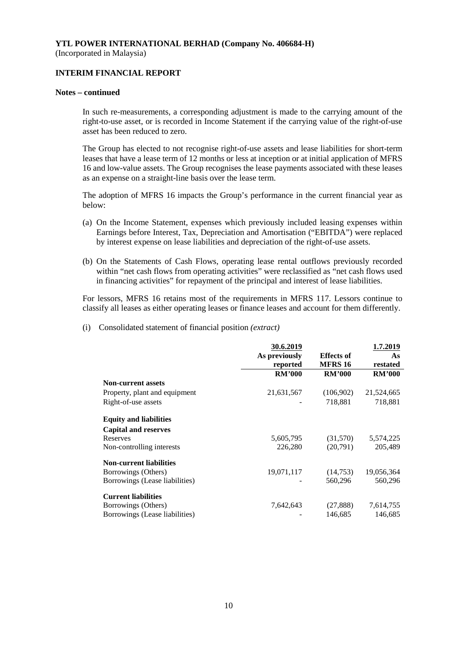# **INTERIM FINANCIAL REPORT**

#### **Notes – continued**

In such re-measurements, a corresponding adjustment is made to the carrying amount of the right-to-use asset, or is recorded in Income Statement if the carrying value of the right-of-use asset has been reduced to zero.

The Group has elected to not recognise right-of-use assets and lease liabilities for short-term leases that have a lease term of 12 months or less at inception or at initial application of MFRS 16 and low-value assets. The Group recognises the lease payments associated with these leases as an expense on a straight-line basis over the lease term.

The adoption of MFRS 16 impacts the Group's performance in the current financial year as below:

- (a) On the Income Statement, expenses which previously included leasing expenses within Earnings before Interest, Tax, Depreciation and Amortisation ("EBITDA") were replaced by interest expense on lease liabilities and depreciation of the right-of-use assets.
- (b) On the Statements of Cash Flows, operating lease rental outflows previously recorded within "net cash flows from operating activities" were reclassified as "net cash flows used in financing activities" for repayment of the principal and interest of lease liabilities.

For lessors, MFRS 16 retains most of the requirements in MFRS 117. Lessors continue to classify all leases as either operating leases or finance leases and account for them differently.

(i) Consolidated statement of financial position *(extract)*

|                                | 30.6.2019     |                   | 1.7.2019      |
|--------------------------------|---------------|-------------------|---------------|
|                                | As previously | <b>Effects of</b> | As            |
|                                | reported      | <b>MFRS 16</b>    | restated      |
|                                | <b>RM'000</b> | <b>RM'000</b>     | <b>RM'000</b> |
| <b>Non-current assets</b>      |               |                   |               |
| Property, plant and equipment  | 21,631,567    | (106,902)         | 21,524,665    |
| Right-of-use assets            |               | 718,881           | 718,881       |
| <b>Equity and liabilities</b>  |               |                   |               |
| <b>Capital and reserves</b>    |               |                   |               |
| Reserves                       | 5,605,795     | (31,570)          | 5,574,225     |
| Non-controlling interests      | 226,280       | (20,791)          | 205,489       |
| <b>Non-current liabilities</b> |               |                   |               |
| Borrowings (Others)            | 19,071,117    | (14,753)          | 19,056,364    |
| Borrowings (Lease liabilities) |               | 560,296           | 560,296       |
| <b>Current liabilities</b>     |               |                   |               |
| Borrowings (Others)            | 7,642,643     | (27, 888)         | 7,614,755     |
| Borrowings (Lease liabilities) |               | 146,685           | 146,685       |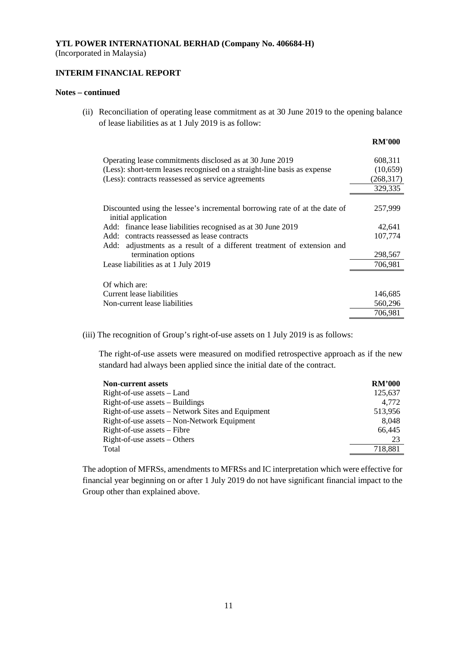(Incorporated in Malaysia)

# **INTERIM FINANCIAL REPORT**

#### **Notes – continued**

(ii) Reconciliation of operating lease commitment as at 30 June 2019 to the opening balance of lease liabilities as at 1 July 2019 is as follow:

|                                                                                                   | <b>RM'000</b> |
|---------------------------------------------------------------------------------------------------|---------------|
| Operating lease commitments disclosed as at 30 June 2019                                          | 608,311       |
| (Less): short-term leases recognised on a straight-line basis as expense                          | (10,659)      |
| (Less): contracts reassessed as service agreements                                                | (268, 317)    |
|                                                                                                   | 329,335       |
| Discounted using the lessee's incremental borrowing rate of at the date of<br>initial application | 257,999       |
| Add: finance lease liabilities recognised as at 30 June 2019                                      | 42,641        |
| Add: contracts reassessed as lease contracts                                                      | 107,774       |
| adjustments as a result of a different treatment of extension and<br>Add:                         |               |
| termination options                                                                               | 298,567       |
| Lease liabilities as at 1 July 2019                                                               | 706,981       |
| Of which are:                                                                                     |               |
| Current lease liabilities                                                                         | 146,685       |
| Non-current lease liabilities                                                                     | 560,296       |
|                                                                                                   | 706,981       |
|                                                                                                   |               |

(iii) The recognition of Group's right-of-use assets on 1 July 2019 is as follows:

The right-of-use assets were measured on modified retrospective approach as if the new standard had always been applied since the initial date of the contract.

| <b>Non-current assets</b>                         | <b>RM'000</b> |
|---------------------------------------------------|---------------|
| $Right-of-use assets - Land$                      | 125.637       |
| $Right-of-use assets – Buildings$                 | 4.772         |
| Right-of-use assets – Network Sites and Equipment | 513,956       |
| Right-of-use assets – Non-Network Equipment       | 8.048         |
| Right-of-use assets – Fibre                       | 66.445        |
| $Right-of-use assets - Others$                    | 23            |
| Total                                             | 718.881       |

The adoption of MFRSs, amendments to MFRSs and IC interpretation which were effective for financial year beginning on or after 1 July 2019 do not have significant financial impact to the Group other than explained above.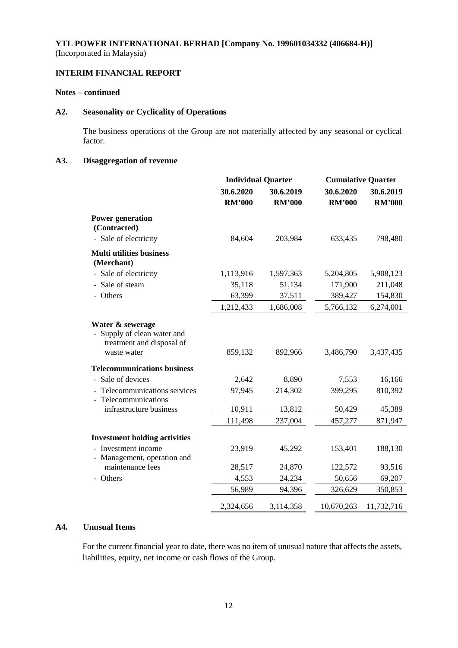# **INTERIM FINANCIAL REPORT**

# **Notes – continued**

# **A2. Seasonality or Cyclicality of Operations**

The business operations of the Group are not materially affected by any seasonal or cyclical factor.

# **A3. Disaggregation of revenue**

|                                                                                           | <b>Individual Quarter</b>  |                            |                            | <b>Cumulative Quarter</b>  |  |
|-------------------------------------------------------------------------------------------|----------------------------|----------------------------|----------------------------|----------------------------|--|
|                                                                                           | 30.6.2020<br><b>RM'000</b> | 30.6.2019<br><b>RM'000</b> | 30.6.2020<br><b>RM'000</b> | 30.6.2019<br><b>RM'000</b> |  |
| <b>Power generation</b><br>(Contracted)                                                   |                            |                            |                            |                            |  |
| - Sale of electricity                                                                     | 84,604                     | 203,984                    | 633,435                    | 798,480                    |  |
| <b>Multi utilities business</b><br>(Merchant)                                             |                            |                            |                            |                            |  |
| - Sale of electricity                                                                     | 1,113,916                  | 1,597,363                  | 5,204,805                  | 5,908,123                  |  |
| - Sale of steam                                                                           | 35,118                     | 51,134                     | 171,900                    | 211,048                    |  |
| - Others                                                                                  | 63,399                     | 37,511                     | 389,427                    | 154,830                    |  |
|                                                                                           | 1,212,433                  | 1,686,008                  | 5,766,132                  | 6,274,001                  |  |
| Water & sewerage<br>Supply of clean water and<br>treatment and disposal of<br>waste water | 859,132                    | 892,966                    | 3,486,790                  | 3,437,435                  |  |
| <b>Telecommunications business</b>                                                        |                            |                            |                            |                            |  |
| - Sale of devices                                                                         | 2,642                      | 8,890                      | 7,553                      | 16,166                     |  |
| - Telecommunications services<br>- Telecommunications                                     | 97,945                     | 214,302                    | 399,295                    | 810,392                    |  |
| infrastructure business                                                                   | 10,911                     | 13,812                     | 50,429                     | 45,389                     |  |
|                                                                                           | 111,498                    | 237,004                    | 457,277                    | 871,947                    |  |
| <b>Investment holding activities</b>                                                      |                            |                            |                            |                            |  |
| - Investment income<br>- Management, operation and                                        | 23,919                     | 45,292                     | 153,401                    | 188,130                    |  |
| maintenance fees                                                                          | 28,517                     | 24,870                     | 122,572                    | 93,516                     |  |
| - Others                                                                                  | 4,553                      | 24,234                     | 50,656                     | 69,207                     |  |
|                                                                                           | 56,989                     | 94,396                     | 326,629                    | 350,853                    |  |
|                                                                                           | 2,324,656                  | 3,114,358                  | 10,670,263                 | 11,732,716                 |  |

# **A4. Unusual Items**

For the current financial year to date, there was no item of unusual nature that affects the assets, liabilities, equity, net income or cash flows of the Group.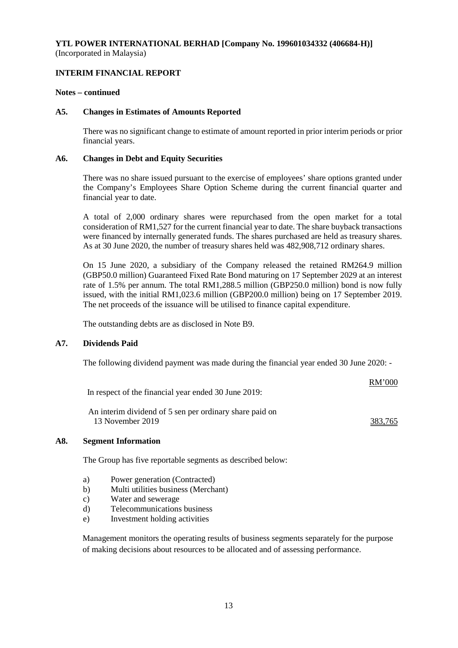### **INTERIM FINANCIAL REPORT**

#### **Notes – continued**

#### **A5. Changes in Estimates of Amounts Reported**

There was no significant change to estimate of amount reported in prior interim periods or prior financial years.

#### **A6. Changes in Debt and Equity Securities**

There was no share issued pursuant to the exercise of employees' share options granted under the Company's Employees Share Option Scheme during the current financial quarter and financial year to date.

A total of 2,000 ordinary shares were repurchased from the open market for a total consideration of RM1,527 for the current financial year to date. The share buyback transactions were financed by internally generated funds. The shares purchased are held as treasury shares. As at 30 June 2020, the number of treasury shares held was 482,908,712 ordinary shares.

On 15 June 2020, a subsidiary of the Company released the retained RM264.9 million (GBP50.0 million) Guaranteed Fixed Rate Bond maturing on 17 September 2029 at an interest rate of 1.5% per annum. The total RM1,288.5 million (GBP250.0 million) bond is now fully issued, with the initial RM1,023.6 million (GBP200.0 million) being on 17 September 2019. The net proceeds of the issuance will be utilised to finance capital expenditure.

The outstanding debts are as disclosed in Note B9.

# **A7. Dividends Paid**

The following dividend payment was made during the financial year ended 30 June 2020: -

|                                                      | <b>RM'000</b> |
|------------------------------------------------------|---------------|
| In respect of the financial year ended 30 June 2019: |               |

An interim dividend of 5 sen per ordinary share paid on 13 November 2019 383,765

# **A8. Segment Information**

The Group has five reportable segments as described below:

- a) Power generation (Contracted)
- b) Multi utilities business (Merchant)
- c) Water and sewerage
- d) Telecommunications business
- e) Investment holding activities

Management monitors the operating results of business segments separately for the purpose of making decisions about resources to be allocated and of assessing performance.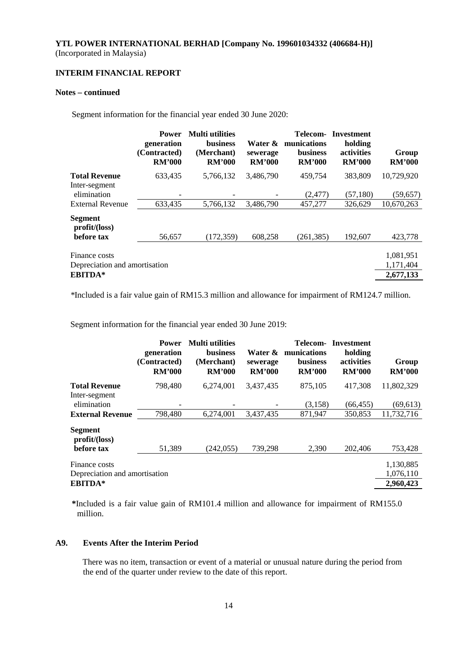# **INTERIM FINANCIAL REPORT**

#### **Notes – continued**

Segment information for the financial year ended 30 June 2020:

|                                                | <b>Power</b><br>generation<br>(Contracted)<br><b>RM'000</b> | <b>Multi</b> utilities<br><b>business</b><br>(Merchant)<br><b>RM'000</b> | Water &<br>sewerage<br><b>RM'000</b> | Telecom-<br>munications<br><b>business</b><br><b>RM'000</b> | Investment<br>holding<br>activities<br><b>RM'000</b> | Group<br><b>RM'000</b> |
|------------------------------------------------|-------------------------------------------------------------|--------------------------------------------------------------------------|--------------------------------------|-------------------------------------------------------------|------------------------------------------------------|------------------------|
| <b>Total Revenue</b>                           | 633,435                                                     | 5,766,132                                                                | 3,486,790                            | 459,754                                                     | 383,809                                              | 10,729,920             |
| Inter-segment                                  |                                                             |                                                                          |                                      |                                                             |                                                      |                        |
| elimination                                    |                                                             |                                                                          |                                      | (2,477)                                                     | (57, 180)                                            | (59, 657)              |
| <b>External Revenue</b>                        | 633,435                                                     | 5,766,132                                                                | 3,486,790                            | 457,277                                                     | 326.629                                              | 10,670,263             |
| Segment<br>profit/loss)                        |                                                             |                                                                          |                                      |                                                             |                                                      |                        |
| before tax                                     | 56,657                                                      | (172, 359)                                                               | 608,258                              | (261, 385)                                                  | 192,607                                              | 423,778                |
| Finance costs<br>Depreciation and amortisation |                                                             |                                                                          |                                      |                                                             |                                                      | 1,081,951<br>1,171,404 |
| <b>EBITDA*</b>                                 |                                                             |                                                                          |                                      |                                                             |                                                      | 2,677,133              |

*\**Included is a fair value gain of RM15.3 million and allowance for impairment of RM124.7 million.

Segment information for the financial year ended 30 June 2019:

|                                                | <b>Power</b><br>generation<br>(Contracted)<br><b>RM'000</b> | <b>Multi</b> utilities<br><b>business</b><br>(Merchant)<br><b>RM'000</b> | Water &<br>sewerage<br><b>RM'000</b> | Telecom-<br>munications<br>business<br><b>RM'000</b> | Investment<br>holding<br>activities<br><b>RM'000</b> | Group<br><b>RM'000</b> |
|------------------------------------------------|-------------------------------------------------------------|--------------------------------------------------------------------------|--------------------------------------|------------------------------------------------------|------------------------------------------------------|------------------------|
| <b>Total Revenue</b>                           | 798,480                                                     | 6,274,001                                                                | 3,437,435                            | 875,105                                              | 417,308                                              | 11,802,329             |
| Inter-segment<br>elimination                   |                                                             |                                                                          |                                      | (3, 158)                                             | (66, 455)                                            | (69, 613)              |
| <b>External Revenue</b>                        | 798,480                                                     | 6,274,001                                                                | 3,437,435                            | 871,947                                              | 350,853                                              | 11,732,716             |
| <b>Segment</b><br>profit/loss)                 |                                                             |                                                                          |                                      |                                                      |                                                      |                        |
| before tax                                     | 51,389                                                      | (242, 055)                                                               | 739,298                              | 2,390                                                | 202,406                                              | 753,428                |
| Finance costs<br>Depreciation and amortisation |                                                             |                                                                          |                                      |                                                      |                                                      | 1,130,885<br>1,076,110 |
| <b>EBITDA*</b>                                 |                                                             |                                                                          |                                      |                                                      |                                                      | 2,960,423              |

**\***Included is a fair value gain of RM101.4 million and allowance for impairment of RM155.0 million.

### **A9. Events After the Interim Period**

There was no item, transaction or event of a material or unusual nature during the period from the end of the quarter under review to the date of this report.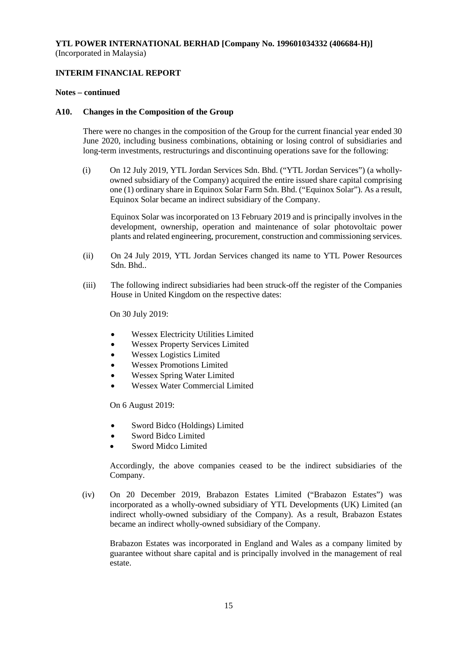# **INTERIM FINANCIAL REPORT**

#### **Notes – continued**

### **A10. Changes in the Composition of the Group**

There were no changes in the composition of the Group for the current financial year ended 30 June 2020, including business combinations, obtaining or losing control of subsidiaries and long-term investments, restructurings and discontinuing operations save for the following:

(i) On 12 July 2019, YTL Jordan Services Sdn. Bhd. ("YTL Jordan Services") (a whollyowned subsidiary of the Company) acquired the entire issued share capital comprising one (1) ordinary share in Equinox Solar Farm Sdn. Bhd. ("Equinox Solar"). As a result, Equinox Solar became an indirect subsidiary of the Company.

Equinox Solar was incorporated on 13 February 2019 and is principally involves in the development, ownership, operation and maintenance of solar photovoltaic power plants and related engineering, procurement, construction and commissioning services.

- (ii) On 24 July 2019, YTL Jordan Services changed its name to YTL Power Resources Sdn. Bhd..
- (iii) The following indirect subsidiaries had been struck-off the register of the Companies House in United Kingdom on the respective dates:

On 30 July 2019:

- Wessex Electricity Utilities Limited
- Wessex Property Services Limited
- Wessex Logistics Limited
- Wessex Promotions Limited
- Wessex Spring Water Limited
- Wessex Water Commercial Limited

On 6 August 2019:

- Sword Bidco (Holdings) Limited
- Sword Bidco Limited
- Sword Midco Limited

Accordingly, the above companies ceased to be the indirect subsidiaries of the Company.

(iv) On 20 December 2019, Brabazon Estates Limited ("Brabazon Estates") was incorporated as a wholly-owned subsidiary of YTL Developments (UK) Limited (an indirect wholly-owned subsidiary of the Company). As a result, Brabazon Estates became an indirect wholly-owned subsidiary of the Company.

Brabazon Estates was incorporated in England and Wales as a company limited by guarantee without share capital and is principally involved in the management of real estate.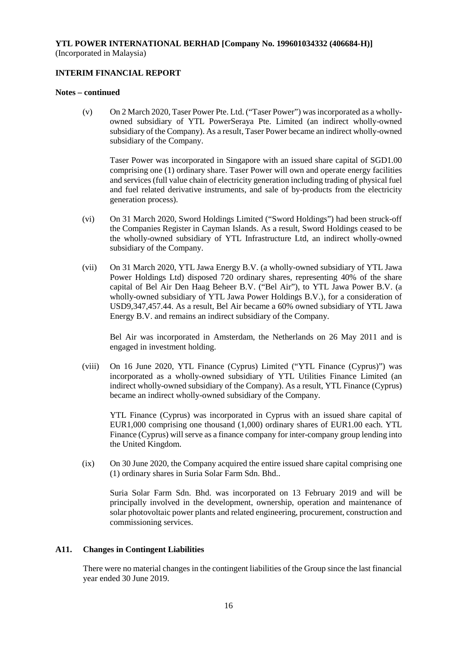# **INTERIM FINANCIAL REPORT**

### **Notes – continued**

(v) On 2 March 2020, Taser Power Pte. Ltd. ("Taser Power") was incorporated as a whollyowned subsidiary of YTL PowerSeraya Pte. Limited (an indirect wholly-owned subsidiary of the Company). As a result, Taser Power became an indirect wholly-owned subsidiary of the Company.

Taser Power was incorporated in Singapore with an issued share capital of SGD1.00 comprising one (1) ordinary share. Taser Power will own and operate energy facilities and services (full value chain of electricity generation including trading of physical fuel and fuel related derivative instruments, and sale of by-products from the electricity generation process).

- (vi) On 31 March 2020, Sword Holdings Limited ("Sword Holdings") had been struck-off the Companies Register in Cayman Islands. As a result, Sword Holdings ceased to be the wholly-owned subsidiary of YTL Infrastructure Ltd, an indirect wholly-owned subsidiary of the Company.
- (vii) On 31 March 2020, YTL Jawa Energy B.V. (a wholly-owned subsidiary of YTL Jawa Power Holdings Ltd) disposed 720 ordinary shares, representing 40% of the share capital of Bel Air Den Haag Beheer B.V. ("Bel Air"), to YTL Jawa Power B.V. (a wholly-owned subsidiary of YTL Jawa Power Holdings B.V.), for a consideration of USD9,347,457.44. As a result, Bel Air became a 60% owned subsidiary of YTL Jawa Energy B.V. and remains an indirect subsidiary of the Company.

Bel Air was incorporated in Amsterdam, the Netherlands on 26 May 2011 and is engaged in investment holding.

(viii) On 16 June 2020, YTL Finance (Cyprus) Limited ("YTL Finance (Cyprus)") was incorporated as a wholly-owned subsidiary of YTL Utilities Finance Limited (an indirect wholly-owned subsidiary of the Company). As a result, YTL Finance (Cyprus) became an indirect wholly-owned subsidiary of the Company.

YTL Finance (Cyprus) was incorporated in Cyprus with an issued share capital of EUR1,000 comprising one thousand (1,000) ordinary shares of EUR1.00 each. YTL Finance (Cyprus) will serve as a finance company for inter-company group lending into the United Kingdom.

(ix) On 30 June 2020, the Company acquired the entire issued share capital comprising one (1) ordinary shares in Suria Solar Farm Sdn. Bhd..

Suria Solar Farm Sdn. Bhd. was incorporated on 13 February 2019 and will be principally involved in the development, ownership, operation and maintenance of solar photovoltaic power plants and related engineering, procurement, construction and commissioning services.

# **A11. Changes in Contingent Liabilities**

There were no material changes in the contingent liabilities of the Group since the last financial year ended 30 June 2019.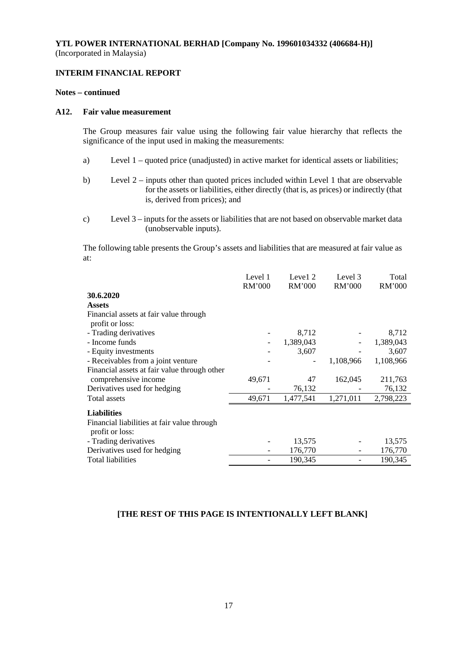# **INTERIM FINANCIAL REPORT**

#### **Notes – continued**

#### **A12. Fair value measurement**

The Group measures fair value using the following fair value hierarchy that reflects the significance of the input used in making the measurements:

- a) Level 1 quoted price (unadjusted) in active market for identical assets or liabilities;
- b) Level 2 inputs other than quoted prices included within Level 1 that are observable for the assets or liabilities, either directly (that is, as prices) or indirectly (that is, derived from prices); and
- c) Level 3 inputs for the assets or liabilities that are not based on observable market data (unobservable inputs).

The following table presents the Group's assets and liabilities that are measured at fair value as at:

|                                                                | Level 1<br><b>RM'000</b> | Level 2<br>RM'000 | Level 3<br><b>RM'000</b> | Total<br>RM'000 |
|----------------------------------------------------------------|--------------------------|-------------------|--------------------------|-----------------|
| 30.6.2020                                                      |                          |                   |                          |                 |
| <b>Assets</b>                                                  |                          |                   |                          |                 |
| Financial assets at fair value through                         |                          |                   |                          |                 |
| profit or loss:                                                |                          |                   |                          |                 |
| - Trading derivatives                                          |                          | 8,712             |                          | 8,712           |
| - Income funds                                                 |                          | 1,389,043         |                          | 1,389,043       |
| - Equity investments                                           |                          | 3,607             |                          | 3,607           |
| - Receivables from a joint venture                             |                          |                   | 1,108,966                | 1,108,966       |
| Financial assets at fair value through other                   |                          |                   |                          |                 |
| comprehensive income                                           | 49,671                   | 47                | 162,045                  | 211,763         |
| Derivatives used for hedging                                   |                          | 76,132            |                          | 76,132          |
| Total assets                                                   | 49,671                   | 1,477,541         | 1,271,011                | 2,798,223       |
| <b>Liabilities</b>                                             |                          |                   |                          |                 |
| Financial liabilities at fair value through<br>profit or loss: |                          |                   |                          |                 |
| - Trading derivatives                                          |                          | 13,575            |                          | 13,575          |
| Derivatives used for hedging                                   |                          | 176,770           |                          | 176,770         |
| Total liabilities                                              |                          | 190,345           |                          | 190,345         |

# **[THE REST OF THIS PAGE IS INTENTIONALLY LEFT BLANK]**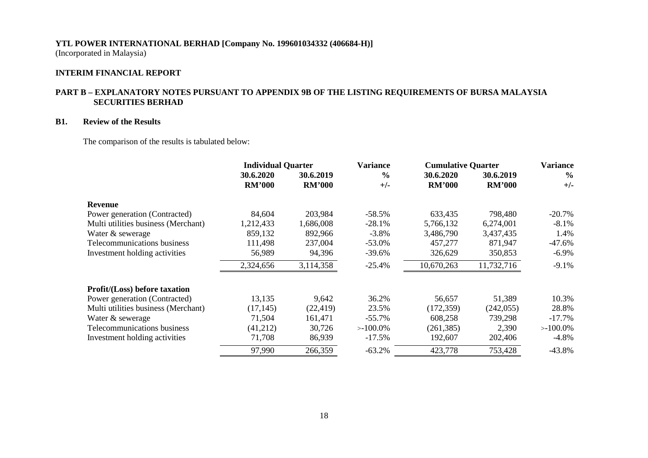# **INTERIM FINANCIAL REPORT**

# **PART B – EXPLANATORY NOTES PURSUANT TO APPENDIX 9B OF THE LISTING REQUIREMENTS OF BURSA MALAYSIA SECURITIES BERHAD**

# **B1. Review of the Results**

The comparison of the results is tabulated below:

|                                      | <b>Individual Quarter</b>  |                            | <b>Variance</b>        | <b>Cumulative Quarter</b>  |                            | <b>Variance</b>        |
|--------------------------------------|----------------------------|----------------------------|------------------------|----------------------------|----------------------------|------------------------|
|                                      | 30.6.2020<br><b>RM'000</b> | 30.6.2019<br><b>RM'000</b> | $\frac{0}{0}$<br>$+/-$ | 30.6.2020<br><b>RM'000</b> | 30.6.2019<br><b>RM'000</b> | $\frac{6}{6}$<br>$+/-$ |
| Revenue                              |                            |                            |                        |                            |                            |                        |
| Power generation (Contracted)        | 84,604                     | 203,984                    | $-58.5%$               | 633,435                    | 798,480                    | $-20.7\%$              |
| Multi utilities business (Merchant)  | 1,212,433                  | 1,686,008                  | $-28.1%$               | 5,766,132                  | 6,274,001                  | $-8.1\%$               |
| Water & sewerage                     | 859,132                    | 892,966                    | $-3.8\%$               | 3,486,790                  | 3,437,435                  | 1.4%                   |
| Telecommunications business          | 111,498                    | 237,004                    | $-53.0%$               | 457,277                    | 871,947                    | $-47.6%$               |
| Investment holding activities        | 56,989                     | 94,396                     | $-39.6%$               | 326,629                    | 350,853                    | $-6.9\%$               |
|                                      | 2,324,656                  | 3,114,358                  | $-25.4%$               | 10,670,263                 | 11,732,716                 | $-9.1%$                |
| <b>Profit/(Loss)</b> before taxation |                            |                            |                        |                            |                            |                        |
| Power generation (Contracted)        | 13,135                     | 9,642                      | 36.2%                  | 56,657                     | 51,389                     | 10.3%                  |
| Multi utilities business (Merchant)  | (17, 145)                  | (22, 419)                  | 23.5%                  | (172, 359)                 | (242, 055)                 | 28.8%                  |
| Water & sewerage                     | 71,504                     | 161,471                    | $-55.7\%$              | 608,258                    | 739,298                    | $-17.7\%$              |
| Telecommunications business          | (41,212)                   | 30,726                     | $>100.0\%$             | (261, 385)                 | 2,390                      | $>100.0\%$             |
| Investment holding activities        | 71,708                     | 86,939                     | $-17.5%$               | 192,607                    | 202,406                    | $-4.8\%$               |
|                                      | 97,990                     | 266,359                    | $-63.2%$               | 423,778                    | 753,428                    | $-43.8%$               |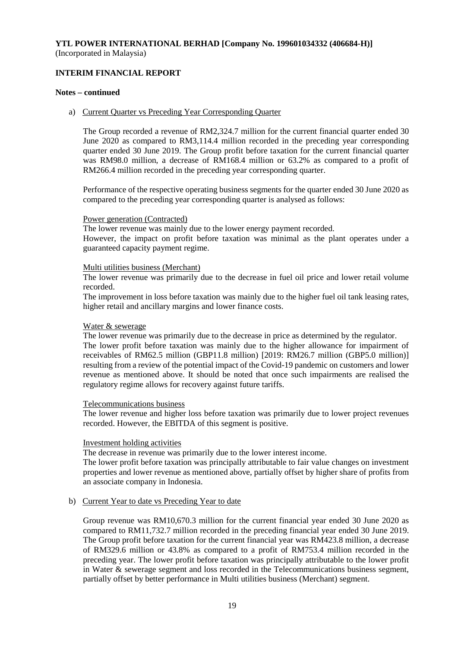# **INTERIM FINANCIAL REPORT**

### **Notes – continued**

#### a) Current Quarter vs Preceding Year Corresponding Quarter

The Group recorded a revenue of RM2,324.7 million for the current financial quarter ended 30 June 2020 as compared to RM3,114.4 million recorded in the preceding year corresponding quarter ended 30 June 2019. The Group profit before taxation for the current financial quarter was RM98.0 million, a decrease of RM168.4 million or 63.2% as compared to a profit of RM266.4 million recorded in the preceding year corresponding quarter.

Performance of the respective operating business segments for the quarter ended 30 June 2020 as compared to the preceding year corresponding quarter is analysed as follows:

#### Power generation (Contracted)

The lower revenue was mainly due to the lower energy payment recorded. However, the impact on profit before taxation was minimal as the plant operates under a guaranteed capacity payment regime.

#### Multi utilities business (Merchant)

The lower revenue was primarily due to the decrease in fuel oil price and lower retail volume recorded.

The improvement in loss before taxation was mainly due to the higher fuel oil tank leasing rates, higher retail and ancillary margins and lower finance costs.

### Water & sewerage

The lower revenue was primarily due to the decrease in price as determined by the regulator. The lower profit before taxation was mainly due to the higher allowance for impairment of receivables of RM62.5 million (GBP11.8 million) [2019: RM26.7 million (GBP5.0 million)] resulting from a review of the potential impact of the Covid-19 pandemic on customers and lower revenue as mentioned above. It should be noted that once such impairments are realised the regulatory regime allows for recovery against future tariffs.

# Telecommunications business

The lower revenue and higher loss before taxation was primarily due to lower project revenues recorded. However, the EBITDA of this segment is positive.

# Investment holding activities

The decrease in revenue was primarily due to the lower interest income.

The lower profit before taxation was principally attributable to fair value changes on investment properties and lower revenue as mentioned above, partially offset by higher share of profits from an associate company in Indonesia.

# b) Current Year to date vs Preceding Year to date

Group revenue was RM10,670.3 million for the current financial year ended 30 June 2020 as compared to RM11,732.7 million recorded in the preceding financial year ended 30 June 2019. The Group profit before taxation for the current financial year was RM423.8 million, a decrease of RM329.6 million or 43.8% as compared to a profit of RM753.4 million recorded in the preceding year. The lower profit before taxation was principally attributable to the lower profit in Water & sewerage segment and loss recorded in the Telecommunications business segment, partially offset by better performance in Multi utilities business (Merchant) segment.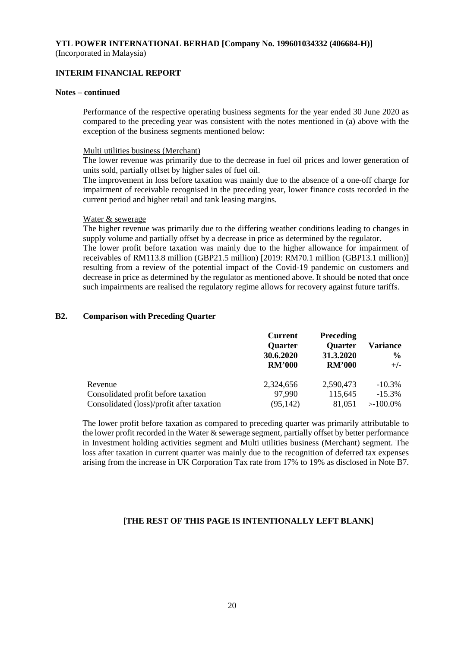# **INTERIM FINANCIAL REPORT**

#### **Notes – continued**

Performance of the respective operating business segments for the year ended 30 June 2020 as compared to the preceding year was consistent with the notes mentioned in (a) above with the exception of the business segments mentioned below:

#### Multi utilities business (Merchant)

The lower revenue was primarily due to the decrease in fuel oil prices and lower generation of units sold, partially offset by higher sales of fuel oil.

The improvement in loss before taxation was mainly due to the absence of a one-off charge for impairment of receivable recognised in the preceding year, lower finance costs recorded in the current period and higher retail and tank leasing margins.

#### Water & sewerage

The higher revenue was primarily due to the differing weather conditions leading to changes in supply volume and partially offset by a decrease in price as determined by the regulator.

The lower profit before taxation was mainly due to the higher allowance for impairment of receivables of RM113.8 million (GBP21.5 million) [2019: RM70.1 million (GBP13.1 million)] resulting from a review of the potential impact of the Covid-19 pandemic on customers and decrease in price as determined by the regulator as mentioned above. It should be noted that once such impairments are realised the regulatory regime allows for recovery against future tariffs.

### **B2. Comparison with Preceding Quarter**

|                                           | <b>Current</b><br><b>Quarter</b><br>30.6.2020<br><b>RM'000</b> | <b>Preceding</b><br><b>Quarter</b><br>31.3.2020<br><b>RM'000</b> | Variance<br>$\frac{6}{9}$<br>$+/-$ |
|-------------------------------------------|----------------------------------------------------------------|------------------------------------------------------------------|------------------------------------|
| Revenue                                   | 2,324,656                                                      | 2,590,473                                                        | $-10.3\%$                          |
| Consolidated profit before taxation       | 97,990                                                         | 115,645                                                          | $-15.3\%$                          |
| Consolidated (loss)/profit after taxation | (95, 142)                                                      | 81.051                                                           | $>100.0\%$                         |

The lower profit before taxation as compared to preceding quarter was primarily attributable to the lower profit recorded in the Water & sewerage segment, partially offset by better performance in Investment holding activities segment and Multi utilities business (Merchant) segment. The loss after taxation in current quarter was mainly due to the recognition of deferred tax expenses arising from the increase in UK Corporation Tax rate from 17% to 19% as disclosed in Note B7.

# **[THE REST OF THIS PAGE IS INTENTIONALLY LEFT BLANK]**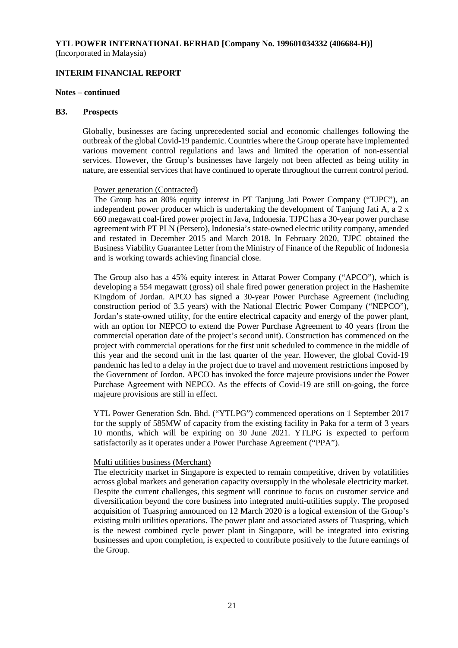#### **INTERIM FINANCIAL REPORT**

#### **Notes – continued**

#### **B3. Prospects**

Globally, businesses are facing unprecedented social and economic challenges following the outbreak of the global Covid-19 pandemic. Countries where the Group operate have implemented various movement control regulations and laws and limited the operation of non-essential services. However, the Group's businesses have largely not been affected as being utility in nature, are essential services that have continued to operate throughout the current control period.

#### Power generation (Contracted)

The Group has an 80% equity interest in PT Tanjung Jati Power Company ("TJPC"), an independent power producer which is undertaking the development of Tanjung Jati A, a  $2 \times$ 660 megawatt coal-fired power project in Java, Indonesia. TJPC has a 30-year power purchase agreement with PT PLN (Persero), Indonesia's state-owned electric utility company, amended and restated in December 2015 and March 2018. In February 2020, TJPC obtained the Business Viability Guarantee Letter from the Ministry of Finance of the Republic of Indonesia and is working towards achieving financial close.

The Group also has a 45% equity interest in Attarat Power Company ("APCO"), which is developing a 554 megawatt (gross) oil shale fired power generation project in the Hashemite Kingdom of Jordan. APCO has signed a 30-year Power Purchase Agreement (including construction period of 3.5 years) with the National Electric Power Company ("NEPCO"), Jordan's state-owned utility, for the entire electrical capacity and energy of the power plant, with an option for NEPCO to extend the Power Purchase Agreement to 40 years (from the commercial operation date of the project's second unit). Construction has commenced on the project with commercial operations for the first unit scheduled to commence in the middle of this year and the second unit in the last quarter of the year. However, the global Covid-19 pandemic has led to a delay in the project due to travel and movement restrictions imposed by the Government of Jordon. APCO has invoked the force majeure provisions under the Power Purchase Agreement with NEPCO. As the effects of Covid-19 are still on-going, the force majeure provisions are still in effect.

YTL Power Generation Sdn. Bhd. ("YTLPG") commenced operations on 1 September 2017 for the supply of 585MW of capacity from the existing facility in Paka for a term of 3 years 10 months, which will be expiring on 30 June 2021. YTLPG is expected to perform satisfactorily as it operates under a Power Purchase Agreement ("PPA").

#### Multi utilities business (Merchant)

The electricity market in Singapore is expected to remain competitive, driven by volatilities across global markets and generation capacity oversupply in the wholesale electricity market. Despite the current challenges, this segment will continue to focus on customer service and diversification beyond the core business into integrated multi-utilities supply. The proposed acquisition of Tuaspring announced on 12 March 2020 is a logical extension of the Group's existing multi utilities operations. The power plant and associated assets of Tuaspring, which is the newest combined cycle power plant in Singapore, will be integrated into existing businesses and upon completion, is expected to contribute positively to the future earnings of the Group.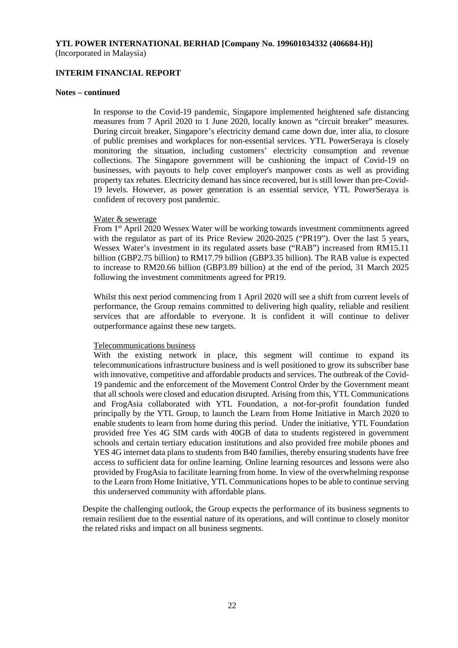### **INTERIM FINANCIAL REPORT**

#### **Notes – continued**

In response to the Covid-19 pandemic, Singapore implemented heightened safe distancing measures from 7 April 2020 to 1 June 2020, locally known as "circuit breaker" measures. During circuit breaker, Singapore's electricity demand came down due, inter alia, to closure of public premises and workplaces for non-essential services. YTL PowerSeraya is closely monitoring the situation, including customers' electricity consumption and revenue collections. The Singapore government will be cushioning the impact of Covid-19 on businesses, with payouts to help cover employer's manpower costs as well as providing property tax rebates. Electricity demand has since recovered, but is still lower than pre-Covid-19 levels. However, as power generation is an essential service, YTL PowerSeraya is confident of recovery post pandemic.

#### Water & sewerage

From 1st April 2020 Wessex Water will be working towards investment commitments agreed with the regulator as part of its Price Review 2020-2025 ("PR19"). Over the last 5 years, Wessex Water's investment in its regulated assets base ("RAB") increased from RM15.11 billion (GBP2.75 billion) to RM17.79 billion (GBP3.35 billion). The RAB value is expected to increase to RM20.66 billion (GBP3.89 billion) at the end of the period, 31 March 2025 following the investment commitments agreed for PR19.

Whilst this next period commencing from 1 April 2020 will see a shift from current levels of performance, the Group remains committed to delivering high quality, reliable and resilient services that are affordable to everyone. It is confident it will continue to deliver outperformance against these new targets.

#### Telecommunications business

With the existing network in place, this segment will continue to expand its telecommunications infrastructure business and is well positioned to grow its subscriber base with innovative, competitive and affordable products and services. The outbreak of the Covid-19 pandemic and the enforcement of the Movement Control Order by the Government meant that all schools were closed and education disrupted. Arising from this, YTL Communications and FrogAsia collaborated with YTL Foundation, a not-for-profit foundation funded principally by the YTL Group, to launch the Learn from Home Initiative in March 2020 to enable students to learn from home during this period. Under the initiative, YTL Foundation provided free Yes 4G SIM cards with 40GB of data to students registered in government schools and certain tertiary education institutions and also provided free mobile phones and YES 4G internet data plans to students from B40 families, thereby ensuring students have free access to sufficient data for online learning. Online learning resources and lessons were also provided by FrogAsia to facilitate learning from home. In view of the overwhelming response to the Learn from Home Initiative, YTL Communications hopes to be able to continue serving this underserved community with affordable plans.

Despite the challenging outlook, the Group expects the performance of its business segments to remain resilient due to the essential nature of its operations, and will continue to closely monitor the related risks and impact on all business segments.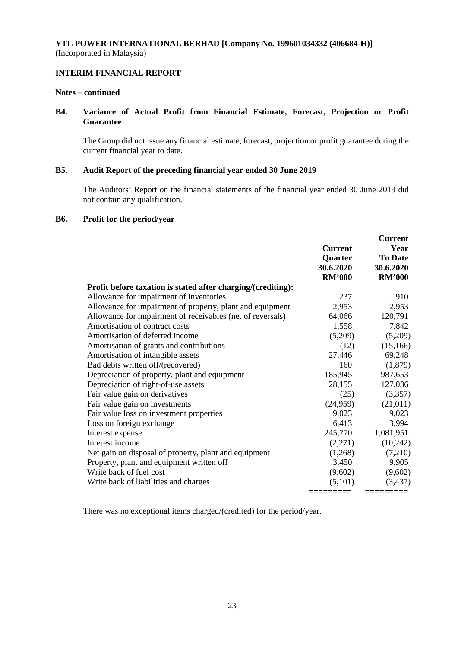# **INTERIM FINANCIAL REPORT**

#### **Notes – continued**

# **B4. Variance of Actual Profit from Financial Estimate, Forecast, Projection or Profit Guarantee**

The Group did not issue any financial estimate, forecast, projection or profit guarantee during the current financial year to date.

# **B5. Audit Report of the preceding financial year ended 30 June 2019**

The Auditors' Report on the financial statements of the financial year ended 30 June 2019 did not contain any qualification.

#### **B6. Profit for the period/year**

|                                                              | <b>Current</b>                        | <b>Current</b><br>Year                       |
|--------------------------------------------------------------|---------------------------------------|----------------------------------------------|
|                                                              | Quarter<br>30.6.2020<br><b>RM'000</b> | <b>To Date</b><br>30.6.2020<br><b>RM'000</b> |
| Profit before taxation is stated after charging/(crediting): |                                       |                                              |
| Allowance for impairment of inventories                      | 237                                   | 910                                          |
| Allowance for impairment of property, plant and equipment    | 2,953                                 | 2,953                                        |
| Allowance for impairment of receivables (net of reversals)   | 64,066                                | 120,791                                      |
| Amortisation of contract costs                               | 1,558                                 | 7,842                                        |
| Amortisation of deferred income                              | (5,209)                               | (5,209)                                      |
| Amortisation of grants and contributions                     | (12)                                  | (15, 166)                                    |
| Amortisation of intangible assets                            | 27,446                                | 69,248                                       |
| Bad debts written off/(recovered)                            | 160                                   | (1,879)                                      |
| Depreciation of property, plant and equipment                | 185,945                               | 987,653                                      |
| Depreciation of right-of-use assets                          | 28,155                                | 127,036                                      |
| Fair value gain on derivatives                               | (25)                                  | (3,357)                                      |
| Fair value gain on investments                               | (24,959)                              | (21, 011)                                    |
| Fair value loss on investment properties                     | 9,023                                 | 9,023                                        |
| Loss on foreign exchange                                     | 6,413                                 | 3,994                                        |
| Interest expense                                             | 245,770                               | 1,081,951                                    |
| Interest income                                              | (2,271)                               | (10,242)                                     |
| Net gain on disposal of property, plant and equipment        | (1,268)                               | (7,210)                                      |
| Property, plant and equipment written off                    | 3,450                                 | 9,905                                        |
| Write back of fuel cost                                      | (9,602)                               | (9,602)                                      |
| Write back of liabilities and charges                        | (5,101)                               | (3,437)                                      |
|                                                              |                                       |                                              |

There was no exceptional items charged/(credited) for the period/year.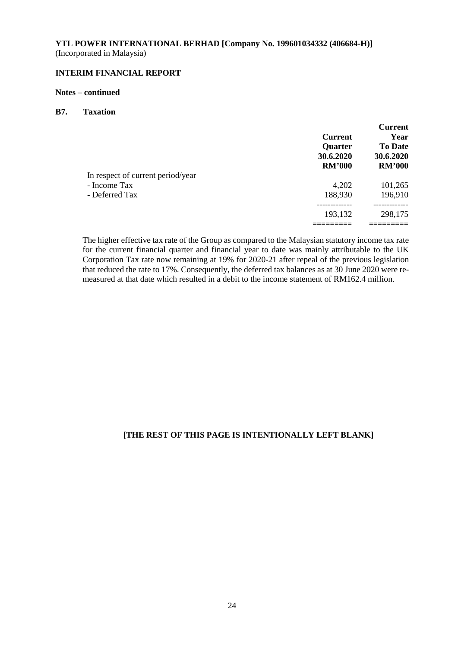# **INTERIM FINANCIAL REPORT**

#### **Notes – continued**

# **B7. Taxation**

|                                   |                | <b>Current</b> |
|-----------------------------------|----------------|----------------|
|                                   | <b>Current</b> | Year           |
|                                   | <b>Quarter</b> | <b>To Date</b> |
|                                   | 30.6.2020      | 30.6.2020      |
|                                   | <b>RM'000</b>  | <b>RM'000</b>  |
| In respect of current period/year |                |                |
| - Income Tax                      | 4,202          | 101,265        |
| - Deferred Tax                    | 188,930        | 196,910        |
|                                   | 193,132        | 298,175        |
|                                   |                |                |

The higher effective tax rate of the Group as compared to the Malaysian statutory income tax rate for the current financial quarter and financial year to date was mainly attributable to the UK Corporation Tax rate now remaining at 19% for 2020-21 after repeal of the previous legislation that reduced the rate to 17%. Consequently, the deferred tax balances as at 30 June 2020 were remeasured at that date which resulted in a debit to the income statement of RM162.4 million.

# **[THE REST OF THIS PAGE IS INTENTIONALLY LEFT BLANK]**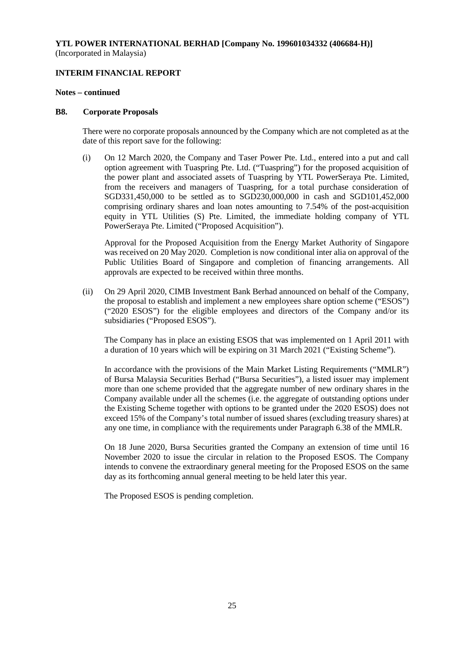### **INTERIM FINANCIAL REPORT**

#### **Notes – continued**

#### **B8. Corporate Proposals**

There were no corporate proposals announced by the Company which are not completed as at the date of this report save for the following:

(i) On 12 March 2020, the Company and Taser Power Pte. Ltd., entered into a put and call option agreement with Tuaspring Pte. Ltd. ("Tuaspring") for the proposed acquisition of the power plant and associated assets of Tuaspring by YTL PowerSeraya Pte. Limited, from the receivers and managers of Tuaspring, for a total purchase consideration of SGD331,450,000 to be settled as to SGD230,000,000 in cash and SGD101,452,000 comprising ordinary shares and loan notes amounting to 7.54% of the post-acquisition equity in YTL Utilities (S) Pte. Limited, the immediate holding company of YTL PowerSeraya Pte. Limited ("Proposed Acquisition").

Approval for the Proposed Acquisition from the Energy Market Authority of Singapore was received on 20 May 2020. Completion is now conditional inter alia on approval of the Public Utilities Board of Singapore and completion of financing arrangements. All approvals are expected to be received within three months.

(ii) On 29 April 2020, CIMB Investment Bank Berhad announced on behalf of the Company, the proposal to establish and implement a new employees share option scheme ("ESOS") ("2020 ESOS") for the eligible employees and directors of the Company and/or its subsidiaries ("Proposed ESOS").

The Company has in place an existing ESOS that was implemented on 1 April 2011 with a duration of 10 years which will be expiring on 31 March 2021 ("Existing Scheme").

In accordance with the provisions of the Main Market Listing Requirements ("MMLR") of Bursa Malaysia Securities Berhad ("Bursa Securities"), a listed issuer may implement more than one scheme provided that the aggregate number of new ordinary shares in the Company available under all the schemes (i.e. the aggregate of outstanding options under the Existing Scheme together with options to be granted under the 2020 ESOS) does not exceed 15% of the Company's total number of issued shares (excluding treasury shares) at any one time, in compliance with the requirements under Paragraph 6.38 of the MMLR.

On 18 June 2020, Bursa Securities granted the Company an extension of time until 16 November 2020 to issue the circular in relation to the Proposed ESOS. The Company intends to convene the extraordinary general meeting for the Proposed ESOS on the same day as its forthcoming annual general meeting to be held later this year.

The Proposed ESOS is pending completion.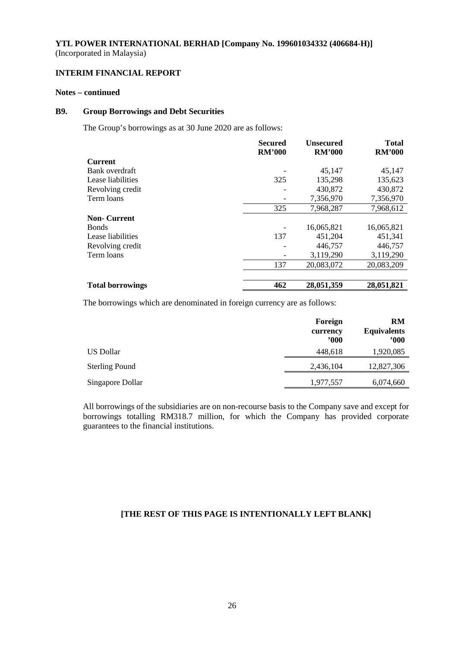# **INTERIM FINANCIAL REPORT**

# **Notes – continued**

# **B9. Group Borrowings and Debt Securities**

The Group's borrowings as at 30 June 2020 are as follows:

|                         | <b>Secured</b><br><b>RM'000</b> | <b>Unsecured</b><br><b>RM'000</b> | <b>Total</b><br><b>RM'000</b> |
|-------------------------|---------------------------------|-----------------------------------|-------------------------------|
| <b>Current</b>          |                                 |                                   |                               |
| Bank overdraft          |                                 | 45.147                            | 45,147                        |
| Lease liabilities       | 325                             | 135,298                           | 135,623                       |
| Revolving credit        |                                 | 430,872                           | 430,872                       |
| Term loans              |                                 | 7,356,970                         | 7,356,970                     |
|                         | 325                             | 7,968,287                         | 7,968,612                     |
| <b>Non-Current</b>      |                                 |                                   |                               |
| <b>Bonds</b>            |                                 | 16,065,821                        | 16,065,821                    |
| Lease liabilities       | 137                             | 451,204                           | 451,341                       |
| Revolving credit        |                                 | 446,757                           | 446,757                       |
| Term loans              |                                 | 3,119,290                         | 3,119,290                     |
|                         | 137                             | 20,083,072                        | 20,083,209                    |
|                         |                                 |                                   |                               |
| <b>Total borrowings</b> | 462                             | 28,051,359                        | 28,051,821                    |

The borrowings which are denominated in foreign currency are as follows:

|                       | Foreign<br>currency<br>$900^\circ$ | RM<br><b>Equivalents</b><br>$900^\circ$ |
|-----------------------|------------------------------------|-----------------------------------------|
| US Dollar             | 448,618                            | 1,920,085                               |
| <b>Sterling Pound</b> | 2,436,104                          | 12,827,306                              |
| Singapore Dollar      | 1,977,557                          | 6,074,660                               |

All borrowings of the subsidiaries are on non-recourse basis to the Company save and except for borrowings totalling RM318.7 million, for which the Company has provided corporate guarantees to the financial institutions.

# **[THE REST OF THIS PAGE IS INTENTIONALLY LEFT BLANK]**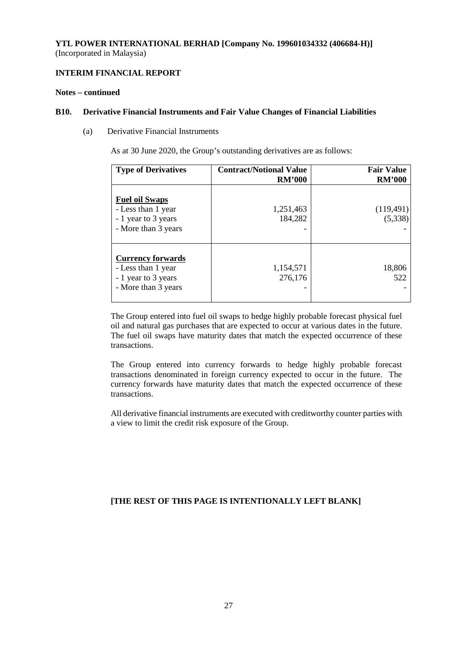# **INTERIM FINANCIAL REPORT**

#### **Notes – continued**

#### **B10. Derivative Financial Instruments and Fair Value Changes of Financial Liabilities**

(a) Derivative Financial Instruments

As at 30 June 2020, the Group's outstanding derivatives are as follows:

| <b>Type of Derivatives</b>                                                                   | <b>Contract/Notional Value</b><br><b>RM'000</b> | <b>Fair Value</b><br><b>RM'000</b> |
|----------------------------------------------------------------------------------------------|-------------------------------------------------|------------------------------------|
| <b>Fuel oil Swaps</b><br>- Less than 1 year<br>- 1 year to 3 years<br>- More than 3 years    | 1,251,463<br>184,282                            | (119,491)<br>(5,338)               |
| <b>Currency forwards</b><br>- Less than 1 year<br>- 1 year to 3 years<br>- More than 3 years | 1,154,571<br>276,176                            | 18,806<br>522                      |

The Group entered into fuel oil swaps to hedge highly probable forecast physical fuel oil and natural gas purchases that are expected to occur at various dates in the future. The fuel oil swaps have maturity dates that match the expected occurrence of these transactions.

The Group entered into currency forwards to hedge highly probable forecast transactions denominated in foreign currency expected to occur in the future. The currency forwards have maturity dates that match the expected occurrence of these transactions.

All derivative financial instruments are executed with creditworthy counter parties with a view to limit the credit risk exposure of the Group.

# **[THE REST OF THIS PAGE IS INTENTIONALLY LEFT BLANK]**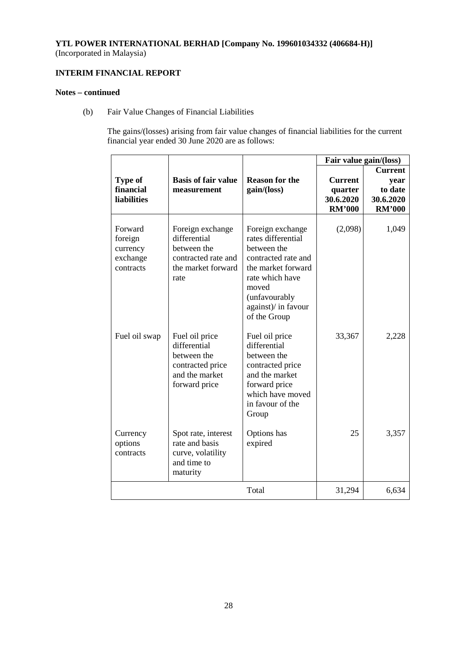# **INTERIM FINANCIAL REPORT**

# **Notes – continued**

(b) Fair Value Changes of Financial Liabilities

The gains/(losses) arising from fair value changes of financial liabilities for the current financial year ended 30 June 2020 are as follows:

|                                                         |                                                                                                      |                                                                                                                                                                                        | Fair value gain/(loss)                                  |                                                                 |
|---------------------------------------------------------|------------------------------------------------------------------------------------------------------|----------------------------------------------------------------------------------------------------------------------------------------------------------------------------------------|---------------------------------------------------------|-----------------------------------------------------------------|
| <b>Type of</b><br>financial<br><b>liabilities</b>       | <b>Basis of fair value</b><br>measurement                                                            | <b>Reason for the</b><br>gain/(loss)                                                                                                                                                   | <b>Current</b><br>quarter<br>30.6.2020<br><b>RM'000</b> | <b>Current</b><br>year<br>to date<br>30.6.2020<br><b>RM'000</b> |
| Forward<br>foreign<br>currency<br>exchange<br>contracts | Foreign exchange<br>differential<br>between the<br>contracted rate and<br>the market forward<br>rate | Foreign exchange<br>rates differential<br>between the<br>contracted rate and<br>the market forward<br>rate which have<br>moved<br>(unfavourably<br>against)/ in favour<br>of the Group | (2,098)                                                 | 1,049                                                           |
| Fuel oil swap                                           | Fuel oil price<br>differential<br>between the<br>contracted price<br>and the market<br>forward price | Fuel oil price<br>differential<br>between the<br>contracted price<br>and the market<br>forward price<br>which have moved<br>in favour of the<br>Group                                  | 33,367                                                  | 2,228                                                           |
| Currency<br>options<br>contracts                        | Spot rate, interest<br>rate and basis<br>curve, volatility<br>and time to<br>maturity                | Options has<br>expired                                                                                                                                                                 | 25                                                      | 3,357                                                           |
|                                                         |                                                                                                      | Total                                                                                                                                                                                  | 31,294                                                  | 6,634                                                           |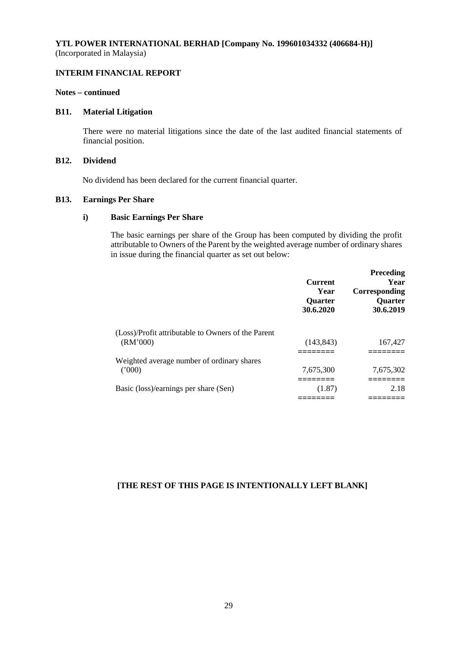## **INTERIM FINANCIAL REPORT**

#### **Notes – continued**

# **B11. Material Litigation**

There were no material litigations since the date of the last audited financial statements of financial position.

# **B12. Dividend**

No dividend has been declared for the current financial quarter.

### **B13. Earnings Per Share**

# **i) Basic Earnings Per Share**

The basic earnings per share of the Group has been computed by dividing the profit attributable to Owners of the Parent by the weighted average number of ordinary shares in issue during the financial quarter as set out below:

|                                                    | <b>Current</b><br>Year<br><b>Quarter</b><br>30.6.2020 | <b>Preceding</b><br>Year<br>Corresponding<br><b>Ouarter</b><br>30.6.2019 |
|----------------------------------------------------|-------------------------------------------------------|--------------------------------------------------------------------------|
| (Loss)/Profit attributable to Owners of the Parent |                                                       |                                                                          |
| (RM'000)                                           | (143, 843)                                            | 167,427                                                                  |
| Weighted average number of ordinary shares         |                                                       |                                                                          |
| (2000)                                             | 7.675.300                                             | 7,675,302                                                                |
|                                                    |                                                       |                                                                          |
| Basic (loss)/earnings per share (Sen)              | (1.87)                                                | 2.18                                                                     |
|                                                    |                                                       |                                                                          |

# **[THE REST OF THIS PAGE IS INTENTIONALLY LEFT BLANK]**